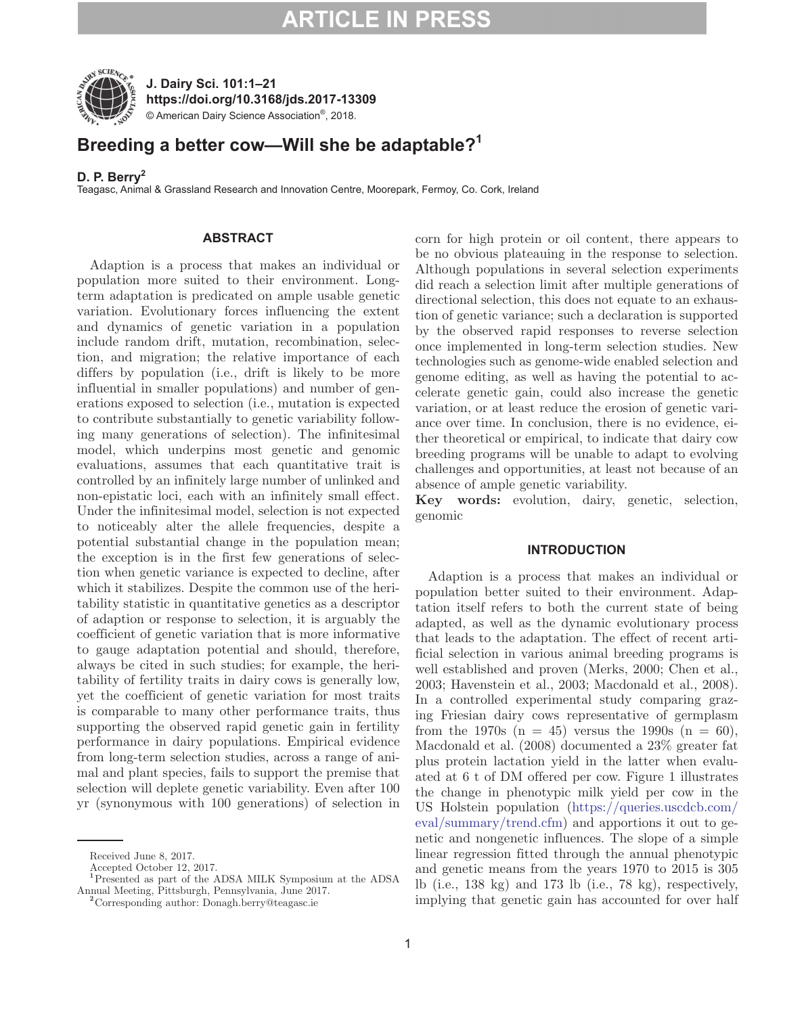

**J. Dairy Sci. 101:1–21 https://doi.org/10.3168/jds.2017-13309** © American Dairy Science Association®, 2018.

### **Breeding a better cow—Will she be adaptable?1**

### **D. P. Berry<sup>2</sup>**

Teagasc, Animal & Grassland Research and Innovation Centre, Moorepark, Fermoy, Co. Cork, Ireland

#### **ABSTRACT**

Adaption is a process that makes an individual or population more suited to their environment. Longterm adaptation is predicated on ample usable genetic variation. Evolutionary forces influencing the extent and dynamics of genetic variation in a population include random drift, mutation, recombination, selection, and migration; the relative importance of each differs by population (i.e., drift is likely to be more influential in smaller populations) and number of generations exposed to selection (i.e., mutation is expected to contribute substantially to genetic variability following many generations of selection). The infinitesimal model, which underpins most genetic and genomic evaluations, assumes that each quantitative trait is controlled by an infinitely large number of unlinked and non-epistatic loci, each with an infinitely small effect. Under the infinitesimal model, selection is not expected to noticeably alter the allele frequencies, despite a potential substantial change in the population mean; the exception is in the first few generations of selection when genetic variance is expected to decline, after which it stabilizes. Despite the common use of the heritability statistic in quantitative genetics as a descriptor of adaption or response to selection, it is arguably the coefficient of genetic variation that is more informative to gauge adaptation potential and should, therefore, always be cited in such studies; for example, the heritability of fertility traits in dairy cows is generally low, yet the coefficient of genetic variation for most traits is comparable to many other performance traits, thus supporting the observed rapid genetic gain in fertility performance in dairy populations. Empirical evidence from long-term selection studies, across a range of animal and plant species, fails to support the premise that selection will deplete genetic variability. Even after 100 yr (synonymous with 100 generations) of selection in corn for high protein or oil content, there appears to be no obvious plateauing in the response to selection. Although populations in several selection experiments did reach a selection limit after multiple generations of directional selection, this does not equate to an exhaustion of genetic variance; such a declaration is supported by the observed rapid responses to reverse selection once implemented in long-term selection studies. New technologies such as genome-wide enabled selection and genome editing, as well as having the potential to accelerate genetic gain, could also increase the genetic variation, or at least reduce the erosion of genetic variance over time. In conclusion, there is no evidence, either theoretical or empirical, to indicate that dairy cow breeding programs will be unable to adapt to evolving challenges and opportunities, at least not because of an absence of ample genetic variability.

**Key words:** evolution, dairy, genetic, selection, genomic

#### **INTRODUCTION**

Adaption is a process that makes an individual or population better suited to their environment. Adaptation itself refers to both the current state of being adapted, as well as the dynamic evolutionary process that leads to the adaptation. The effect of recent artificial selection in various animal breeding programs is well established and proven (Merks, 2000; Chen et al., 2003; Havenstein et al., 2003; Macdonald et al., 2008). In a controlled experimental study comparing grazing Friesian dairy cows representative of germplasm from the 1970s  $(n = 45)$  versus the 1990s  $(n = 60)$ , Macdonald et al. (2008) documented a 23% greater fat plus protein lactation yield in the latter when evaluated at 6 t of DM offered per cow. Figure 1 illustrates the change in phenotypic milk yield per cow in the US Holstein population [\(https://queries.uscdcb.com/](https://queries.uscdcb.com/eval/summary/trend.cfm) [eval/summary/trend.cfm\)](https://queries.uscdcb.com/eval/summary/trend.cfm) and apportions it out to genetic and nongenetic influences. The slope of a simple linear regression fitted through the annual phenotypic and genetic means from the years 1970 to 2015 is 305 lb (i.e., 138 kg) and 173 lb (i.e., 78 kg), respectively, implying that genetic gain has accounted for over half

Received June 8, 2017.

Accepted October 12, 2017.

**<sup>1</sup>**Presented as part of the ADSA MILK Symposium at the ADSA Annual Meeting, Pittsburgh, Pennsylvania, June 2017. **<sup>2</sup>**Corresponding author: Donagh.berry@teagasc.ie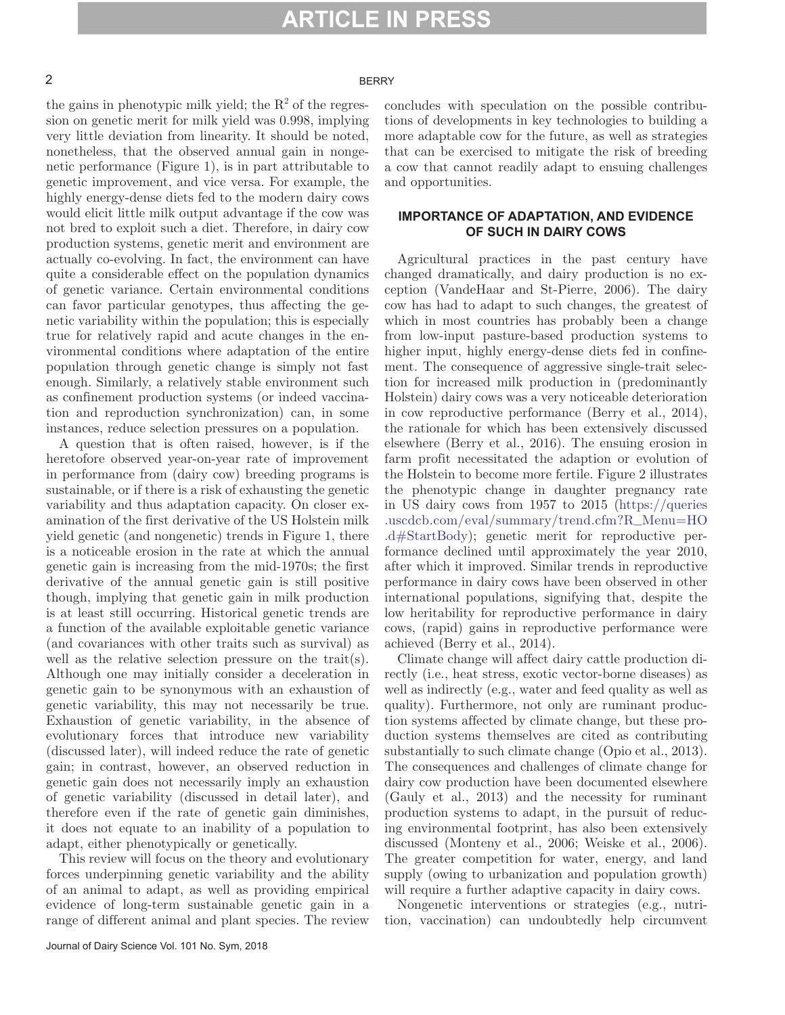#### 2 BERRY

the gains in phenotypic milk yield; the  $R^2$  of the regression on genetic merit for milk yield was 0.998, implying very little deviation from linearity. It should be noted, nonetheless, that the observed annual gain in nongenetic performance (Figure 1), is in part attributable to genetic improvement, and vice versa. For example, the highly energy-dense diets fed to the modern dairy cows would elicit little milk output advantage if the cow was not bred to exploit such a diet. Therefore, in dairy cow production systems, genetic merit and environment are actually co-evolving. In fact, the environment can have quite a considerable effect on the population dynamics of genetic variance. Certain environmental conditions can favor particular genotypes, thus affecting the genetic variability within the population; this is especially true for relatively rapid and acute changes in the environmental conditions where adaptation of the entire population through genetic change is simply not fast enough. Similarly, a relatively stable environment such as confinement production systems (or indeed vaccination and reproduction synchronization) can, in some instances, reduce selection pressures on a population.

A question that is often raised, however, is if the heretofore observed year-on-year rate of improvement in performance from (dairy cow) breeding programs is sustainable, or if there is a risk of exhausting the genetic variability and thus adaptation capacity. On closer examination of the first derivative of the US Holstein milk yield genetic (and nongenetic) trends in Figure 1, there is a noticeable erosion in the rate at which the annual genetic gain is increasing from the mid-1970s; the first derivative of the annual genetic gain is still positive though, implying that genetic gain in milk production is at least still occurring. Historical genetic trends are a function of the available exploitable genetic variance (and covariances with other traits such as survival) as well as the relative selection pressure on the trait(s). Although one may initially consider a deceleration in genetic gain to be synonymous with an exhaustion of genetic variability, this may not necessarily be true. Exhaustion of genetic variability, in the absence of evolutionary forces that introduce new variability (discussed later), will indeed reduce the rate of genetic gain; in contrast, however, an observed reduction in genetic gain does not necessarily imply an exhaustion of genetic variability (discussed in detail later), and therefore even if the rate of genetic gain diminishes, it does not equate to an inability of a population to adapt, either phenotypically or genetically.

This review will focus on the theory and evolutionary forces underpinning genetic variability and the ability of an animal to adapt, as well as providing empirical evidence of long-term sustainable genetic gain in a range of different animal and plant species. The review concludes with speculation on the possible contributions of developments in key technologies to building a more adaptable cow for the future, as well as strategies that can be exercised to mitigate the risk of breeding a cow that cannot readily adapt to ensuing challenges and opportunities.

#### **IMPORTANCE OF ADAPTATION, AND EVIDENCE OF SUCH IN DAIRY COWS**

Agricultural practices in the past century have changed dramatically, and dairy production is no exception (VandeHaar and St-Pierre, 2006). The dairy cow has had to adapt to such changes, the greatest of which in most countries has probably been a change from low-input pasture-based production systems to higher input, highly energy-dense diets fed in confinement. The consequence of aggressive single-trait selection for increased milk production in (predominantly Holstein) dairy cows was a very noticeable deterioration in cow reproductive performance (Berry et al., 2014), the rationale for which has been extensively discussed elsewhere (Berry et al., 2016). The ensuing erosion in farm profit necessitated the adaption or evolution of the Holstein to become more fertile. Figure 2 illustrates the phenotypic change in daughter pregnancy rate in US dairy cows from 1957 to 2015 [\(https://queries](https://queries.uscdcb.com/eval/summary/trend.cfm?R_Menu=HO.d#StartBody) [.uscdcb.com/eval/summary/trend.cfm?R\\_Menu=HO](https://queries.uscdcb.com/eval/summary/trend.cfm?R_Menu=HO.d#StartBody) [.d#StartBody](https://queries.uscdcb.com/eval/summary/trend.cfm?R_Menu=HO.d#StartBody)); genetic merit for reproductive performance declined until approximately the year 2010, after which it improved. Similar trends in reproductive performance in dairy cows have been observed in other international populations, signifying that, despite the low heritability for reproductive performance in dairy cows, (rapid) gains in reproductive performance were achieved (Berry et al., 2014).

Climate change will affect dairy cattle production directly (i.e., heat stress, exotic vector-borne diseases) as well as indirectly (e.g., water and feed quality as well as quality). Furthermore, not only are ruminant production systems affected by climate change, but these production systems themselves are cited as contributing substantially to such climate change (Opio et al., 2013). The consequences and challenges of climate change for dairy cow production have been documented elsewhere (Gauly et al., 2013) and the necessity for ruminant production systems to adapt, in the pursuit of reducing environmental footprint, has also been extensively discussed (Monteny et al., 2006; Weiske et al., 2006). The greater competition for water, energy, and land supply (owing to urbanization and population growth) will require a further adaptive capacity in dairy cows.

Nongenetic interventions or strategies (e.g., nutrition, vaccination) can undoubtedly help circumvent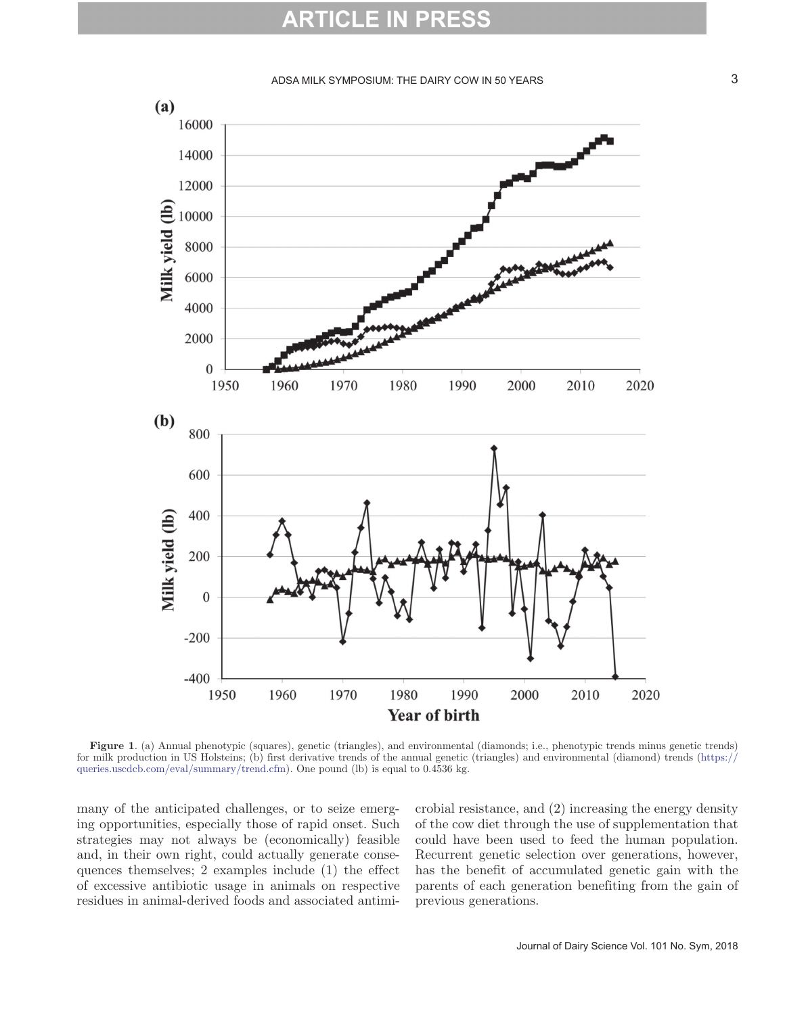#### ADSA MILK SYMPOSIUM: THE DAIRY COW IN 50 YEARS **3** 3



**Figure 1**. (a) Annual phenotypic (squares), genetic (triangles), and environmental (diamonds; i.e., phenotypic trends minus genetic trends) for milk production in US Holsteins; (b) first derivative trends of the annual genetic (triangles) and environmental (diamond) trends ([https://](https://queries.uscdcb.com/eval/summary/trend.cfm) [queries.uscdcb.com/eval/summary/trend.cfm](https://queries.uscdcb.com/eval/summary/trend.cfm)). One pound (lb) is equal to 0.4536 kg.

many of the anticipated challenges, or to seize emerging opportunities, especially those of rapid onset. Such strategies may not always be (economically) feasible and, in their own right, could actually generate consequences themselves; 2 examples include (1) the effect of excessive antibiotic usage in animals on respective residues in animal-derived foods and associated antimi-

crobial resistance, and (2) increasing the energy density of the cow diet through the use of supplementation that could have been used to feed the human population. Recurrent genetic selection over generations, however, has the benefit of accumulated genetic gain with the parents of each generation benefiting from the gain of previous generations.

Journal of Dairy Science Vol. 101 No. Sym, 2018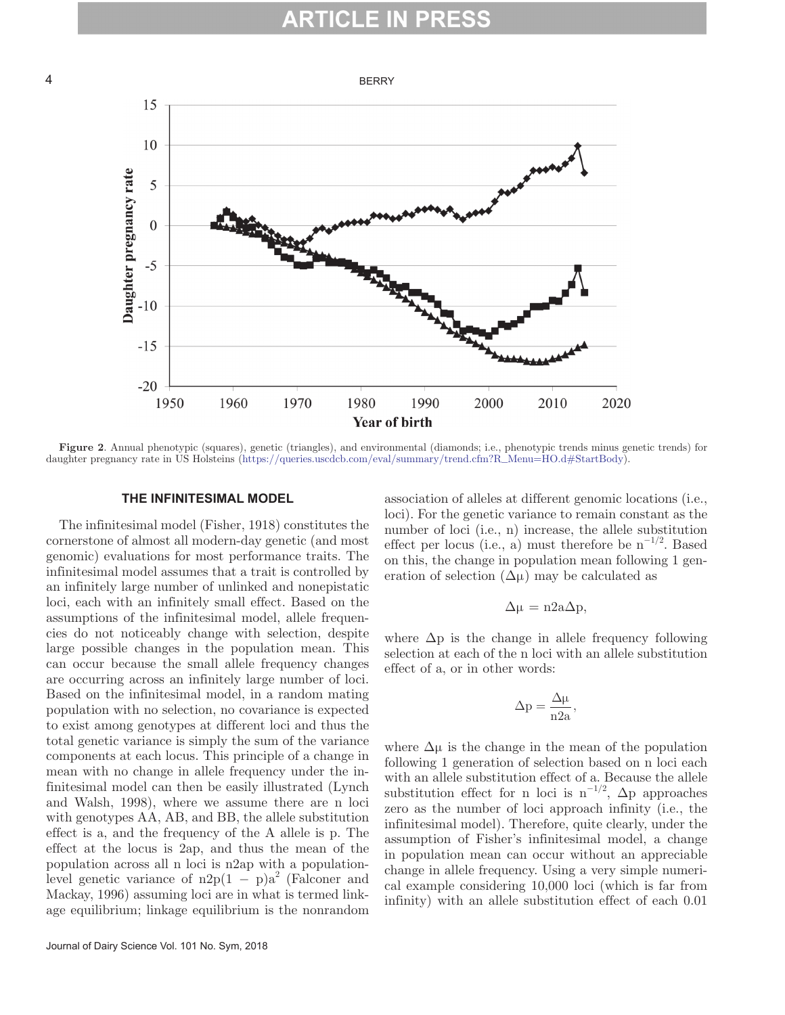### ARTICI I



**Figure 2**. Annual phenotypic (squares), genetic (triangles), and environmental (diamonds; i.e., phenotypic trends minus genetic trends) for daughter pregnancy rate in US Holsteins [\(https://queries.uscdcb.com/eval/summary/trend.cfm?R\\_Menu=HO.d#StartBody](https://queries.uscdcb.com/eval/summary/trend.cfm?R_Menu=HO.d#StartBody)).

#### **THE INFINITESIMAL MODEL**

The infinitesimal model (Fisher, 1918) constitutes the cornerstone of almost all modern-day genetic (and most genomic) evaluations for most performance traits. The infinitesimal model assumes that a trait is controlled by an infinitely large number of unlinked and nonepistatic loci, each with an infinitely small effect. Based on the assumptions of the infinitesimal model, allele frequencies do not noticeably change with selection, despite large possible changes in the population mean. This can occur because the small allele frequency changes are occurring across an infinitely large number of loci. Based on the infinitesimal model, in a random mating population with no selection, no covariance is expected to exist among genotypes at different loci and thus the total genetic variance is simply the sum of the variance components at each locus. This principle of a change in mean with no change in allele frequency under the infinitesimal model can then be easily illustrated (Lynch and Walsh, 1998), where we assume there are n loci with genotypes AA, AB, and BB, the allele substitution effect is a, and the frequency of the A allele is p. The effect at the locus is 2ap, and thus the mean of the population across all n loci is n2ap with a populationlevel genetic variance of  $n2p(1-p)a^2$  (Falconer and Mackay, 1996) assuming loci are in what is termed linkage equilibrium; linkage equilibrium is the nonrandom

association of alleles at different genomic locations (i.e., loci). For the genetic variance to remain constant as the number of loci (i.e., n) increase, the allele substitution effect per locus (i.e., a) must therefore be  $n^{-1/2}$ . Based on this, the change in population mean following 1 generation of selection  $(\Delta \mu)$  may be calculated as

$$
\Delta \mu = n2a\Delta p,
$$

where  $\Delta p$  is the change in allele frequency following selection at each of the n loci with an allele substitution effect of a, or in other words:

$$
\Delta p = \frac{\Delta \mu}{n2a},
$$

where  $\Delta \mu$  is the change in the mean of the population following 1 generation of selection based on n loci each with an allele substitution effect of a. Because the allele substitution effect for n loci is  $n^{-1/2}$ ,  $\Delta p$  approaches zero as the number of loci approach infinity (i.e., the infinitesimal model). Therefore, quite clearly, under the assumption of Fisher's infinitesimal model, a change in population mean can occur without an appreciable change in allele frequency. Using a very simple numerical example considering 10,000 loci (which is far from infinity) with an allele substitution effect of each 0.01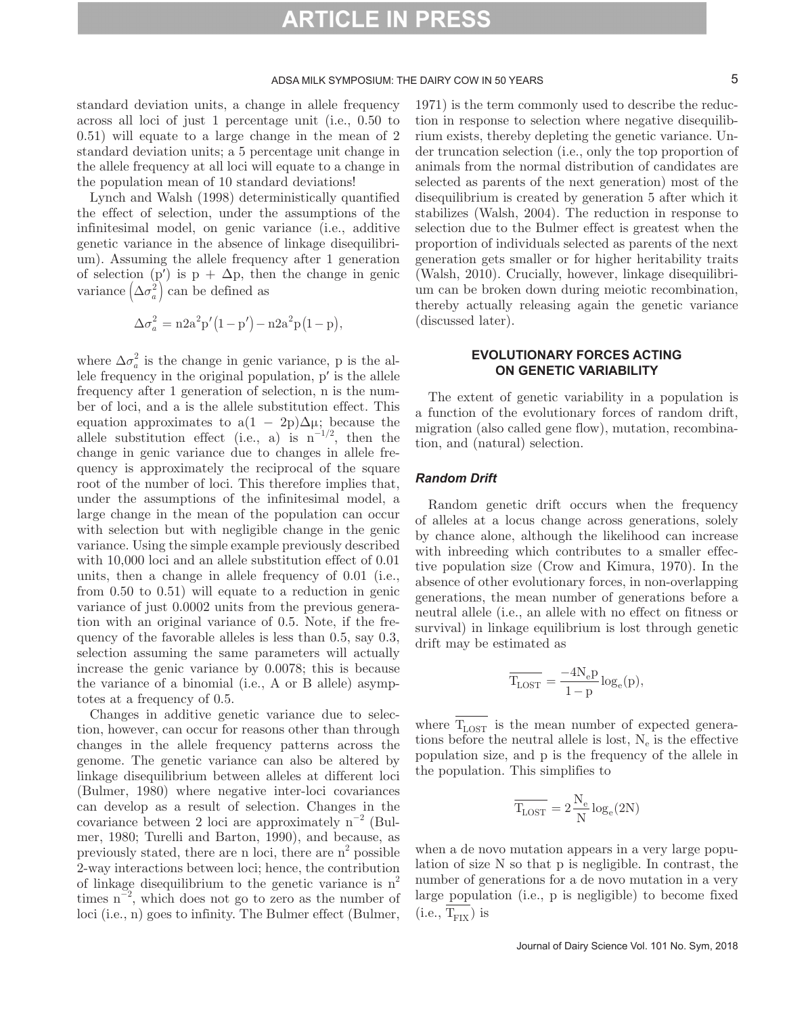standard deviation units, a change in allele frequency across all loci of just 1 percentage unit (i.e., 0.50 to 0.51) will equate to a large change in the mean of 2 standard deviation units; a 5 percentage unit change in the allele frequency at all loci will equate to a change in the population mean of 10 standard deviations!

Lynch and Walsh (1998) deterministically quantified the effect of selection, under the assumptions of the infinitesimal model, on genic variance (i.e., additive genetic variance in the absence of linkage disequilibrium). Assuming the allele frequency after 1 generation of selection (p') is  $p + \Delta p$ , then the change in genic variance  $(\Delta \sigma_a^2)$  can be defined as

$$
\Delta \sigma_a^2 = n2a^2p'(1-p') - n2a^2p(1-p),
$$

where  $\Delta \sigma_a^2$  is the change in genic variance, p is the allele frequency in the original population, p′ is the allele frequency after 1 generation of selection, n is the number of loci, and a is the allele substitution effect. This equation approximates to  $a(1 - 2p)\Delta\mu$ ; because the allele substitution effect (i.e., a) is  $n^{-1/2}$ , then the change in genic variance due to changes in allele frequency is approximately the reciprocal of the square root of the number of loci. This therefore implies that, under the assumptions of the infinitesimal model, a large change in the mean of the population can occur with selection but with negligible change in the genic variance. Using the simple example previously described with 10,000 loci and an allele substitution effect of 0.01 units, then a change in allele frequency of 0.01 (i.e., from 0.50 to 0.51) will equate to a reduction in genic variance of just 0.0002 units from the previous generation with an original variance of 0.5. Note, if the frequency of the favorable alleles is less than 0.5, say 0.3, selection assuming the same parameters will actually increase the genic variance by 0.0078; this is because the variance of a binomial (i.e., A or B allele) asymptotes at a frequency of 0.5.

Changes in additive genetic variance due to selection, however, can occur for reasons other than through changes in the allele frequency patterns across the genome. The genetic variance can also be altered by linkage disequilibrium between alleles at different loci (Bulmer, 1980) where negative inter-loci covariances can develop as a result of selection. Changes in the covariance between 2 loci are approximately  $n^{-2}$  (Bulmer, 1980; Turelli and Barton, 1990), and because, as previously stated, there are n loci, there are  $n^2$  possible 2-way interactions between loci; hence, the contribution of linkage disequilibrium to the genetic variance is  $n^2$ times  $n^{-2}$ , which does not go to zero as the number of loci (i.e., n) goes to infinity. The Bulmer effect (Bulmer,

1971) is the term commonly used to describe the reduction in response to selection where negative disequilibrium exists, thereby depleting the genetic variance. Under truncation selection (i.e., only the top proportion of animals from the normal distribution of candidates are selected as parents of the next generation) most of the disequilibrium is created by generation 5 after which it stabilizes (Walsh, 2004). The reduction in response to selection due to the Bulmer effect is greatest when the proportion of individuals selected as parents of the next generation gets smaller or for higher heritability traits (Walsh, 2010). Crucially, however, linkage disequilibrium can be broken down during meiotic recombination, thereby actually releasing again the genetic variance (discussed later).

#### **EVOLUTIONARY FORCES ACTING ON GENETIC VARIABILITY**

The extent of genetic variability in a population is a function of the evolutionary forces of random drift, migration (also called gene flow), mutation, recombination, and (natural) selection.

#### *Random Drift*

Random genetic drift occurs when the frequency of alleles at a locus change across generations, solely by chance alone, although the likelihood can increase with inbreeding which contributes to a smaller effective population size (Crow and Kimura, 1970). In the absence of other evolutionary forces, in non-overlapping generations, the mean number of generations before a neutral allele (i.e., an allele with no effect on fitness or survival) in linkage equilibrium is lost through genetic drift may be estimated as

$$
\overline{T_{\rm LOST}} = \frac{-4N_{\rm e}p}{1-p} \log_{\rm e}(p),
$$

where  $\overline{T_{\text{LOST}}}$  is the mean number of expected generations before the neutral allele is lost,  $N_e$  is the effective population size, and p is the frequency of the allele in the population. This simplifies to

$$
\overline{T_{\rm{LOST}}}=2\frac{N_{\rm{e}}}{N}\log_{\rm{e}}(2N)
$$

when a de novo mutation appears in a very large population of size N so that p is negligible. In contrast, the number of generations for a de novo mutation in a very large population (i.e., p is negligible) to become fixed  $(i.e., T<sub>FIX</sub>)$  is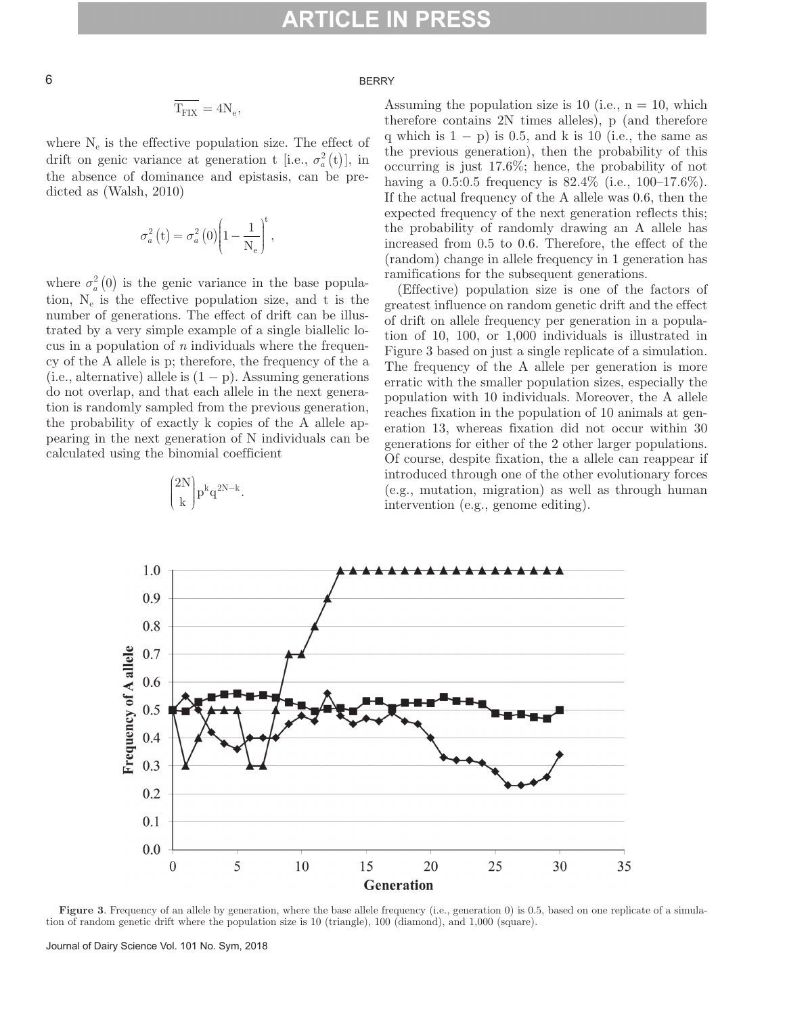#### $\overline{6}$  BERRY

$$
\overline{T_{\rm{FIX}}}=4N_{\rm{e}},
$$

where  $N_e$  is the effective population size. The effect of drift on genic variance at generation t [i.e.,  $\sigma_a^2(t)$ ], in the absence of dominance and epistasis, can be predicted as (Walsh, 2010)

$$
\sigma_a^2(t) = \sigma_a^2(0) \left(1 - \frac{1}{N_e}\right)^t,
$$

where  $\sigma_a^2(0)$  is the genic variance in the base population,  $N_e$  is the effective population size, and t is the number of generations. The effect of drift can be illustrated by a very simple example of a single biallelic locus in a population of *n* individuals where the frequency of the A allele is p; therefore, the frequency of the a (i.e., alternative) allele is  $(1 - p)$ . Assuming generations do not overlap, and that each allele in the next generation is randomly sampled from the previous generation, the probability of exactly k copies of the A allele appearing in the next generation of N individuals can be calculated using the binomial coefficient



 $\binom{2N}{k} p^k q$  $(2N)_{n^k a^{2N-k}}$ l  $\overline{\phantom{a}}$  $\overline{\phantom{a}}$ J  $\left|p^k q^{2N-k}\right.$  Assuming the population size is 10 (i.e.,  $n = 10$ , which therefore contains 2N times alleles), p (and therefore q which is  $1 - p$ ) is 0.5, and k is 10 (i.e., the same as the previous generation), then the probability of this occurring is just 17.6%; hence, the probability of not having a 0.5:0.5 frequency is  $82.4\%$  (i.e.,  $100-17.6\%$ ). If the actual frequency of the A allele was 0.6, then the expected frequency of the next generation reflects this; the probability of randomly drawing an A allele has increased from 0.5 to 0.6. Therefore, the effect of the (random) change in allele frequency in 1 generation has ramifications for the subsequent generations.

(Effective) population size is one of the factors of greatest influence on random genetic drift and the effect of drift on allele frequency per generation in a population of 10, 100, or 1,000 individuals is illustrated in Figure 3 based on just a single replicate of a simulation. The frequency of the A allele per generation is more erratic with the smaller population sizes, especially the population with 10 individuals. Moreover, the A allele reaches fixation in the population of 10 animals at generation 13, whereas fixation did not occur within 30 generations for either of the 2 other larger populations. Of course, despite fixation, the a allele can reappear if introduced through one of the other evolutionary forces (e.g., mutation, migration) as well as through human intervention (e.g., genome editing).

**Figure 3.** Frequency of an allele by generation, where the base allele frequency (i.e., generation 0) is 0.5, based on one replicate of a simulation of random genetic drift where the population size is 10 (triangle), 100 (diamond), and 1,000 (square).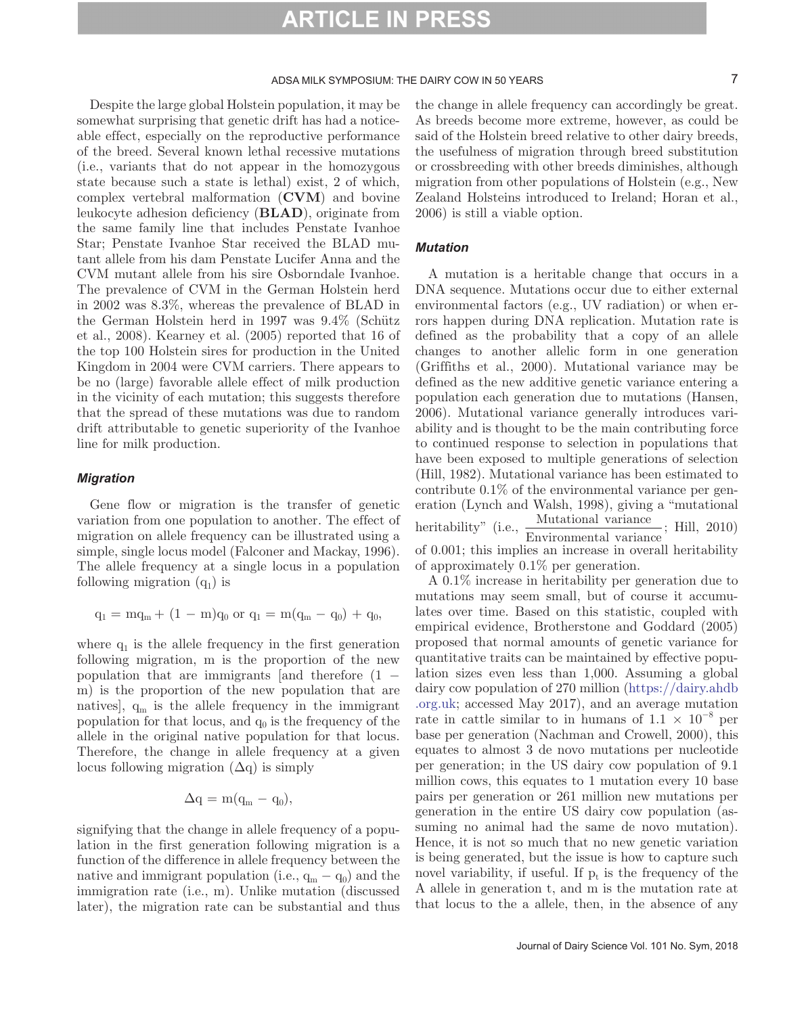#### ADSA MILK SYMPOSIUM: THE DAIRY COW IN 50 YEARS 7

Despite the large global Holstein population, it may be somewhat surprising that genetic drift has had a noticeable effect, especially on the reproductive performance of the breed. Several known lethal recessive mutations (i.e., variants that do not appear in the homozygous state because such a state is lethal) exist, 2 of which, complex vertebral malformation (**CVM**) and bovine leukocyte adhesion deficiency (**BLAD**), originate from the same family line that includes Penstate Ivanhoe Star; Penstate Ivanhoe Star received the BLAD mutant allele from his dam Penstate Lucifer Anna and the CVM mutant allele from his sire Osborndale Ivanhoe. The prevalence of CVM in the German Holstein herd in 2002 was 8.3%, whereas the prevalence of BLAD in the German Holstein herd in 1997 was 9.4% (Schütz et al., 2008). Kearney et al. (2005) reported that 16 of the top 100 Holstein sires for production in the United Kingdom in 2004 were CVM carriers. There appears to be no (large) favorable allele effect of milk production in the vicinity of each mutation; this suggests therefore that the spread of these mutations was due to random drift attributable to genetic superiority of the Ivanhoe line for milk production.

#### *Migration*

Gene flow or migration is the transfer of genetic variation from one population to another. The effect of migration on allele frequency can be illustrated using a simple, single locus model (Falconer and Mackay, 1996). The allele frequency at a single locus in a population following migration  $(q_1)$  is

$$
q_1 = mq_m + (1 - m)q_0
$$
 or  $q_1 = m(q_m - q_0) + q_0$ ,

where  $q_1$  is the allele frequency in the first generation following migration, m is the proportion of the new population that are immigrants [and therefore (1 − m) is the proportion of the new population that are natives],  $q_m$  is the allele frequency in the immigrant population for that locus, and  $q_0$  is the frequency of the allele in the original native population for that locus. Therefore, the change in allele frequency at a given locus following migration  $(\Delta q)$  is simply

$$
\Delta {\rm q} = {\rm m}({\rm q_m}-{\rm q_0}),
$$

signifying that the change in allele frequency of a population in the first generation following migration is a function of the difference in allele frequency between the native and immigrant population (i.e.,  $q_m - q_0$ ) and the immigration rate (i.e., m). Unlike mutation (discussed later), the migration rate can be substantial and thus

the change in allele frequency can accordingly be great. As breeds become more extreme, however, as could be said of the Holstein breed relative to other dairy breeds, the usefulness of migration through breed substitution or crossbreeding with other breeds diminishes, although migration from other populations of Holstein (e.g., New Zealand Holsteins introduced to Ireland; Horan et al., 2006) is still a viable option.

#### *Mutation*

A mutation is a heritable change that occurs in a DNA sequence. Mutations occur due to either external environmental factors (e.g., UV radiation) or when errors happen during DNA replication. Mutation rate is defined as the probability that a copy of an allele changes to another allelic form in one generation (Griffiths et al., 2000). Mutational variance may be defined as the new additive genetic variance entering a population each generation due to mutations (Hansen, 2006). Mutational variance generally introduces variability and is thought to be the main contributing force to continued response to selection in populations that have been exposed to multiple generations of selection (Hill, 1982). Mutational variance has been estimated to contribute 0.1% of the environmental variance per generation (Lynch and Walsh, 1998), giving a "mutational heritability" (i.e., Mutational variance<br>Environmental variance ; Hill, 2010) of 0.001; this implies an increase in overall heritability of approximately 0.1% per generation.

A 0.1% increase in heritability per generation due to mutations may seem small, but of course it accumulates over time. Based on this statistic, coupled with empirical evidence, Brotherstone and Goddard (2005) proposed that normal amounts of genetic variance for quantitative traits can be maintained by effective population sizes even less than 1,000. Assuming a global dairy cow population of 270 million ([https://dairy.ahdb](https://dairy.ahdb.org.uk) [.org.uk;](https://dairy.ahdb.org.uk) accessed May 2017), and an average mutation rate in cattle similar to in humans of  $1.1 \times 10^{-8}$  per base per generation (Nachman and Crowell, 2000), this equates to almost 3 de novo mutations per nucleotide per generation; in the US dairy cow population of 9.1 million cows, this equates to 1 mutation every 10 base pairs per generation or 261 million new mutations per generation in the entire US dairy cow population (assuming no animal had the same de novo mutation). Hence, it is not so much that no new genetic variation is being generated, but the issue is how to capture such novel variability, if useful. If  $p_t$  is the frequency of the A allele in generation t, and m is the mutation rate at that locus to the a allele, then, in the absence of any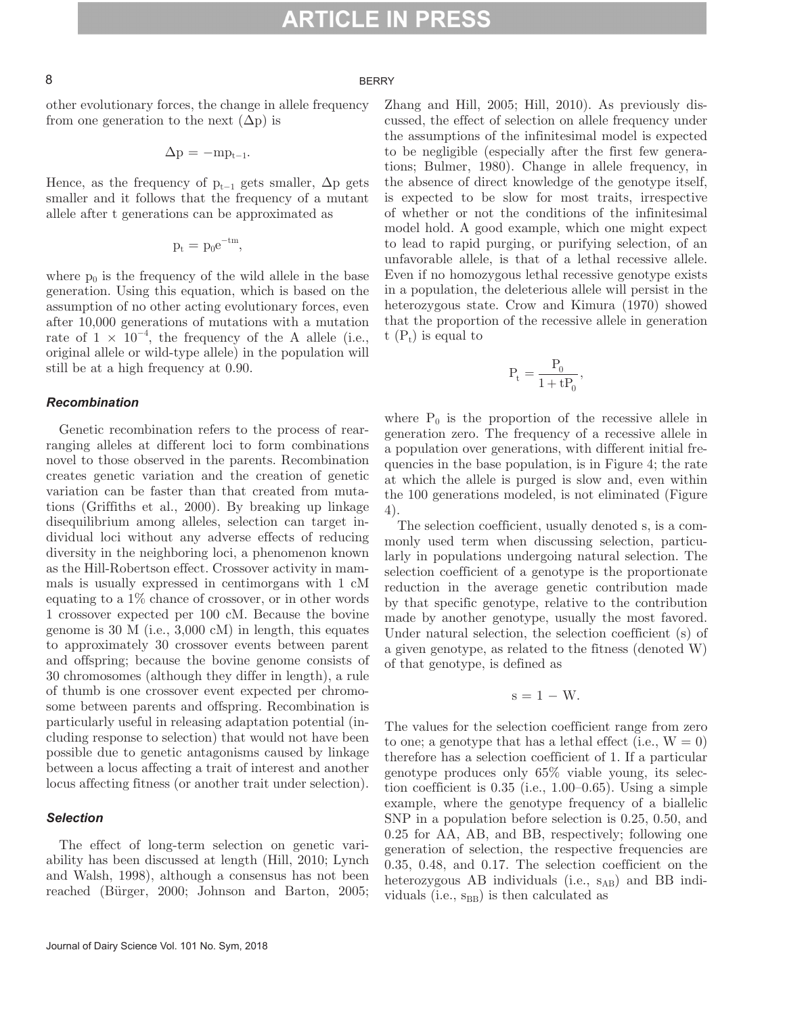#### 8 BERRY

other evolutionary forces, the change in allele frequency from one generation to the next  $(\Delta p)$  is

$$
\Delta p = -mp_{t-1}.
$$

Hence, as the frequency of  $p_{t-1}$  gets smaller,  $\Delta p$  gets smaller and it follows that the frequency of a mutant allele after t generations can be approximated as

$$
p_t = p_0 e^{-tm}, \quad
$$

where  $p_0$  is the frequency of the wild allele in the base generation. Using this equation, which is based on the assumption of no other acting evolutionary forces, even after 10,000 generations of mutations with a mutation rate of  $1 \times 10^{-4}$ , the frequency of the A allele (i.e., original allele or wild-type allele) in the population will still be at a high frequency at 0.90.

#### *Recombination*

Genetic recombination refers to the process of rearranging alleles at different loci to form combinations novel to those observed in the parents. Recombination creates genetic variation and the creation of genetic variation can be faster than that created from mutations (Griffiths et al., 2000). By breaking up linkage disequilibrium among alleles, selection can target individual loci without any adverse effects of reducing diversity in the neighboring loci, a phenomenon known as the Hill-Robertson effect. Crossover activity in mammals is usually expressed in centimorgans with 1 cM equating to a 1% chance of crossover, or in other words 1 crossover expected per 100 cM. Because the bovine genome is 30 M (i.e., 3,000 cM) in length, this equates to approximately 30 crossover events between parent and offspring; because the bovine genome consists of 30 chromosomes (although they differ in length), a rule of thumb is one crossover event expected per chromosome between parents and offspring. Recombination is particularly useful in releasing adaptation potential (including response to selection) that would not have been possible due to genetic antagonisms caused by linkage between a locus affecting a trait of interest and another locus affecting fitness (or another trait under selection).

#### *Selection*

The effect of long-term selection on genetic variability has been discussed at length (Hill, 2010; Lynch and Walsh, 1998), although a consensus has not been reached (Bürger, 2000; Johnson and Barton, 2005; Zhang and Hill, 2005; Hill, 2010). As previously discussed, the effect of selection on allele frequency under the assumptions of the infinitesimal model is expected to be negligible (especially after the first few generations; Bulmer, 1980). Change in allele frequency, in the absence of direct knowledge of the genotype itself, is expected to be slow for most traits, irrespective of whether or not the conditions of the infinitesimal model hold. A good example, which one might expect to lead to rapid purging, or purifying selection, of an unfavorable allele, is that of a lethal recessive allele. Even if no homozygous lethal recessive genotype exists in a population, the deleterious allele will persist in the heterozygous state. Crow and Kimura (1970) showed that the proportion of the recessive allele in generation t  $(P_t)$  is equal to

$$
P_t = \frac{P_0}{1+tP_0},
$$

where  $P_0$  is the proportion of the recessive allele in generation zero. The frequency of a recessive allele in a population over generations, with different initial frequencies in the base population, is in Figure 4; the rate at which the allele is purged is slow and, even within the 100 generations modeled, is not eliminated (Figure 4).

The selection coefficient, usually denoted s, is a commonly used term when discussing selection, particularly in populations undergoing natural selection. The selection coefficient of a genotype is the proportionate reduction in the average genetic contribution made by that specific genotype, relative to the contribution made by another genotype, usually the most favored. Under natural selection, the selection coefficient (s) of a given genotype, as related to the fitness (denoted W) of that genotype, is defined as

$$
s=1-W.
$$

The values for the selection coefficient range from zero to one; a genotype that has a lethal effect (i.e.,  $W = 0$ ) therefore has a selection coefficient of 1. If a particular genotype produces only 65% viable young, its selection coefficient is 0.35 (i.e., 1.00–0.65). Using a simple example, where the genotype frequency of a biallelic SNP in a population before selection is 0.25, 0.50, and 0.25 for AA, AB, and BB, respectively; following one generation of selection, the respective frequencies are 0.35, 0.48, and 0.17. The selection coefficient on the heterozygous AB individuals (i.e.,  $s_{AB}$ ) and BB individuals (i.e.,  $s_{BB}$ ) is then calculated as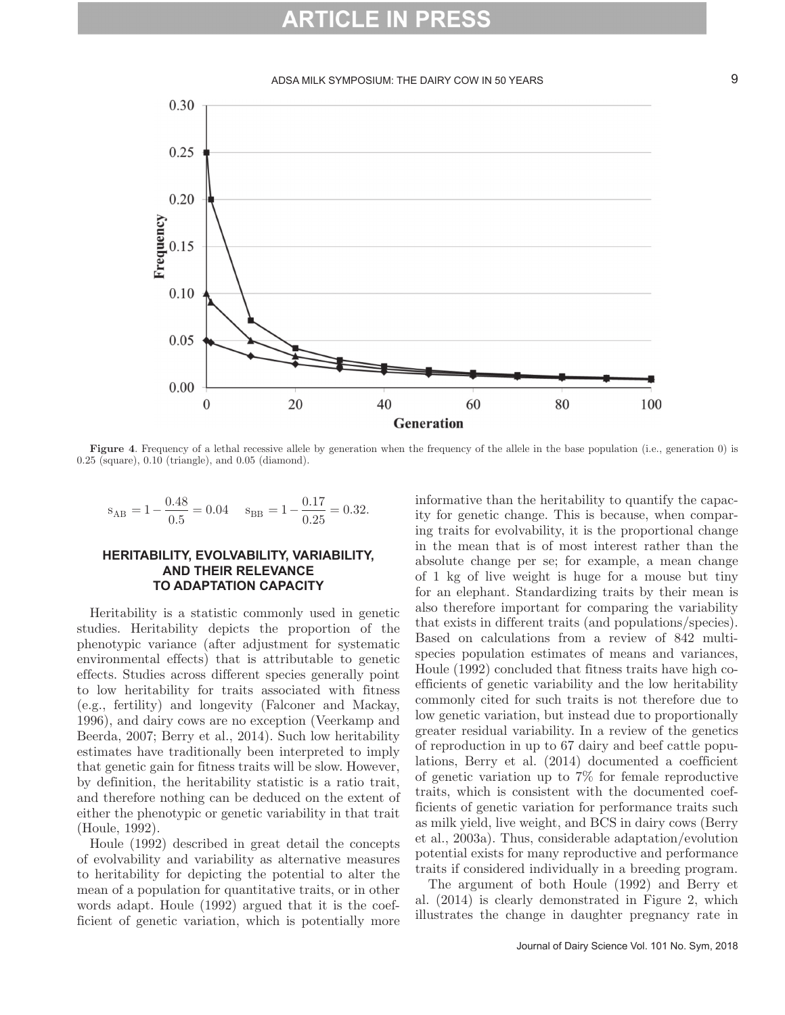#### ADSA MILK SYMPOSIUM: THE DAIRY COW IN 50 YEARS **1988** 9



**Figure 4.** Frequency of a lethal recessive allele by generation when the frequency of the allele in the base population (i.e., generation 0) is  $0.25$  (square),  $0.10$  (triangle), and  $0.05$  (diamond).

$$
s_{AB} = 1 - \frac{0.48}{0.5} = 0.04
$$
  $s_{BB} = 1 - \frac{0.17}{0.25} = 0.32.$ 

#### **HERITABILITY, EVOLVABILITY, VARIABILITY, AND THEIR RELEVANCE TO ADAPTATION CAPACITY**

Heritability is a statistic commonly used in genetic studies. Heritability depicts the proportion of the phenotypic variance (after adjustment for systematic environmental effects) that is attributable to genetic effects. Studies across different species generally point to low heritability for traits associated with fitness (e.g., fertility) and longevity (Falconer and Mackay, 1996), and dairy cows are no exception (Veerkamp and Beerda, 2007; Berry et al., 2014). Such low heritability estimates have traditionally been interpreted to imply that genetic gain for fitness traits will be slow. However, by definition, the heritability statistic is a ratio trait, and therefore nothing can be deduced on the extent of either the phenotypic or genetic variability in that trait (Houle, 1992).

Houle (1992) described in great detail the concepts of evolvability and variability as alternative measures to heritability for depicting the potential to alter the mean of a population for quantitative traits, or in other words adapt. Houle (1992) argued that it is the coefficient of genetic variation, which is potentially more informative than the heritability to quantify the capacity for genetic change. This is because, when comparing traits for evolvability, it is the proportional change in the mean that is of most interest rather than the absolute change per se; for example, a mean change of 1 kg of live weight is huge for a mouse but tiny for an elephant. Standardizing traits by their mean is also therefore important for comparing the variability that exists in different traits (and populations/species). Based on calculations from a review of 842 multispecies population estimates of means and variances, Houle (1992) concluded that fitness traits have high coefficients of genetic variability and the low heritability commonly cited for such traits is not therefore due to low genetic variation, but instead due to proportionally greater residual variability. In a review of the genetics of reproduction in up to 67 dairy and beef cattle populations, Berry et al. (2014) documented a coefficient of genetic variation up to 7% for female reproductive traits, which is consistent with the documented coefficients of genetic variation for performance traits such as milk yield, live weight, and BCS in dairy cows (Berry et al., 2003a). Thus, considerable adaptation/evolution potential exists for many reproductive and performance traits if considered individually in a breeding program.

The argument of both Houle (1992) and Berry et al. (2014) is clearly demonstrated in Figure 2, which illustrates the change in daughter pregnancy rate in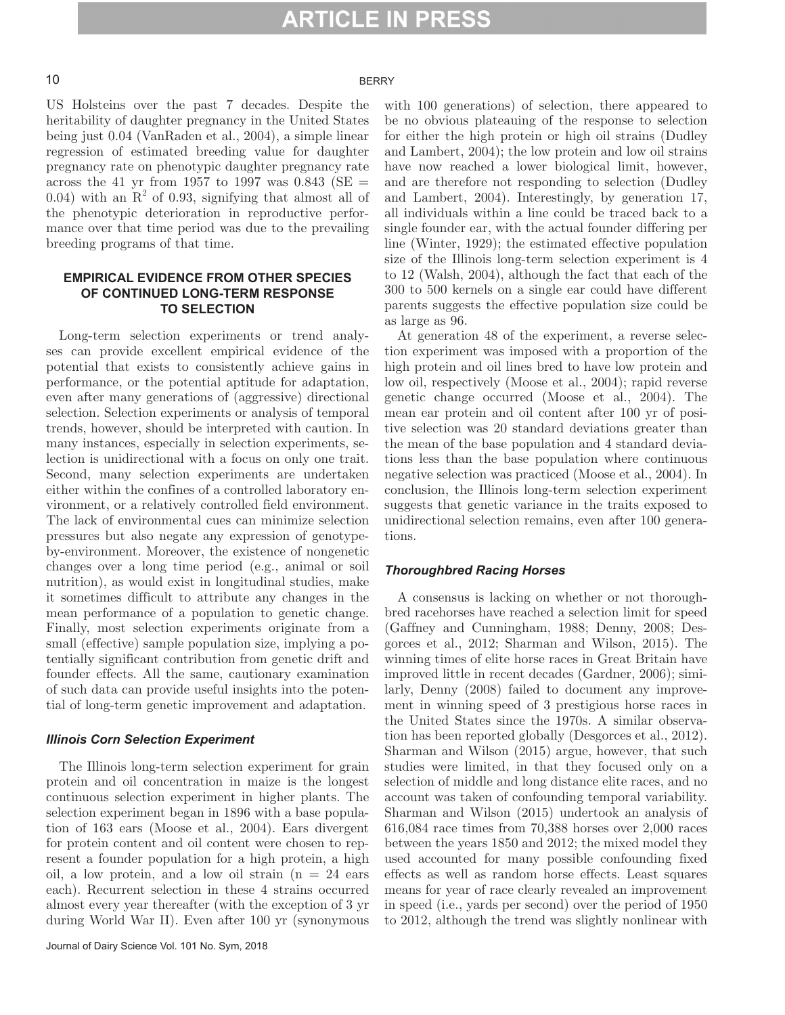#### 10 BERRY

US Holsteins over the past 7 decades. Despite the heritability of daughter pregnancy in the United States being just 0.04 (VanRaden et al., 2004), a simple linear regression of estimated breeding value for daughter pregnancy rate on phenotypic daughter pregnancy rate across the 41 yr from 1957 to 1997 was 0.843 (SE  $=$ 0.04) with an  $R^2$  of 0.93, signifying that almost all of the phenotypic deterioration in reproductive performance over that time period was due to the prevailing breeding programs of that time.

#### **EMPIRICAL EVIDENCE FROM OTHER SPECIES OF CONTINUED LONG-TERM RESPONSE TO SELECTION**

Long-term selection experiments or trend analyses can provide excellent empirical evidence of the potential that exists to consistently achieve gains in performance, or the potential aptitude for adaptation, even after many generations of (aggressive) directional selection. Selection experiments or analysis of temporal trends, however, should be interpreted with caution. In many instances, especially in selection experiments, selection is unidirectional with a focus on only one trait. Second, many selection experiments are undertaken either within the confines of a controlled laboratory environment, or a relatively controlled field environment. The lack of environmental cues can minimize selection pressures but also negate any expression of genotypeby-environment. Moreover, the existence of nongenetic changes over a long time period (e.g., animal or soil nutrition), as would exist in longitudinal studies, make it sometimes difficult to attribute any changes in the mean performance of a population to genetic change. Finally, most selection experiments originate from a small (effective) sample population size, implying a potentially significant contribution from genetic drift and founder effects. All the same, cautionary examination of such data can provide useful insights into the potential of long-term genetic improvement and adaptation.

#### *Illinois Corn Selection Experiment*

The Illinois long-term selection experiment for grain protein and oil concentration in maize is the longest continuous selection experiment in higher plants. The selection experiment began in 1896 with a base population of 163 ears (Moose et al., 2004). Ears divergent for protein content and oil content were chosen to represent a founder population for a high protein, a high oil, a low protein, and a low oil strain  $(n = 24$  ears each). Recurrent selection in these 4 strains occurred almost every year thereafter (with the exception of 3 yr during World War II). Even after 100 yr (synonymous

with 100 generations) of selection, there appeared to be no obvious plateauing of the response to selection for either the high protein or high oil strains (Dudley and Lambert, 2004); the low protein and low oil strains have now reached a lower biological limit, however, and are therefore not responding to selection (Dudley and Lambert, 2004). Interestingly, by generation 17, all individuals within a line could be traced back to a single founder ear, with the actual founder differing per line (Winter, 1929); the estimated effective population size of the Illinois long-term selection experiment is 4 to 12 (Walsh, 2004), although the fact that each of the 300 to 500 kernels on a single ear could have different parents suggests the effective population size could be as large as 96.

At generation 48 of the experiment, a reverse selection experiment was imposed with a proportion of the high protein and oil lines bred to have low protein and low oil, respectively (Moose et al., 2004); rapid reverse genetic change occurred (Moose et al., 2004). The mean ear protein and oil content after 100 yr of positive selection was 20 standard deviations greater than the mean of the base population and 4 standard deviations less than the base population where continuous negative selection was practiced (Moose et al., 2004). In conclusion, the Illinois long-term selection experiment suggests that genetic variance in the traits exposed to unidirectional selection remains, even after 100 generations.

#### *Thoroughbred Racing Horses*

A consensus is lacking on whether or not thoroughbred racehorses have reached a selection limit for speed (Gaffney and Cunningham, 1988; Denny, 2008; Desgorces et al., 2012; Sharman and Wilson, 2015). The winning times of elite horse races in Great Britain have improved little in recent decades (Gardner, 2006); similarly, Denny (2008) failed to document any improvement in winning speed of 3 prestigious horse races in the United States since the 1970s. A similar observation has been reported globally (Desgorces et al., 2012). Sharman and Wilson (2015) argue, however, that such studies were limited, in that they focused only on a selection of middle and long distance elite races, and no account was taken of confounding temporal variability. Sharman and Wilson (2015) undertook an analysis of 616,084 race times from 70,388 horses over 2,000 races between the years 1850 and 2012; the mixed model they used accounted for many possible confounding fixed effects as well as random horse effects. Least squares means for year of race clearly revealed an improvement in speed (i.e., yards per second) over the period of 1950 to 2012, although the trend was slightly nonlinear with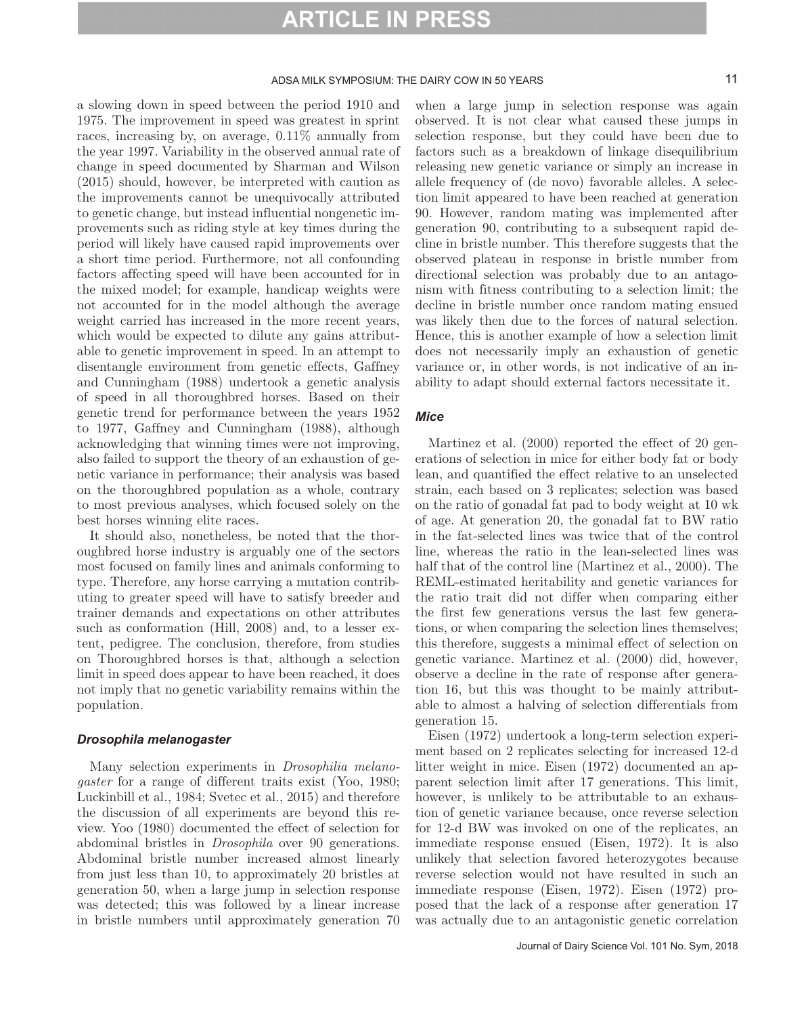#### ADSA MILK SYMPOSIUM: THE DAIRY COW IN 50 YEARS 11

a slowing down in speed between the period 1910 and 1975. The improvement in speed was greatest in sprint races, increasing by, on average, 0.11% annually from the year 1997. Variability in the observed annual rate of change in speed documented by Sharman and Wilson (2015) should, however, be interpreted with caution as the improvements cannot be unequivocally attributed to genetic change, but instead influential nongenetic improvements such as riding style at key times during the period will likely have caused rapid improvements over a short time period. Furthermore, not all confounding factors affecting speed will have been accounted for in the mixed model; for example, handicap weights were not accounted for in the model although the average weight carried has increased in the more recent years, which would be expected to dilute any gains attributable to genetic improvement in speed. In an attempt to disentangle environment from genetic effects, Gaffney and Cunningham (1988) undertook a genetic analysis of speed in all thoroughbred horses. Based on their genetic trend for performance between the years 1952 to 1977, Gaffney and Cunningham (1988), although acknowledging that winning times were not improving, also failed to support the theory of an exhaustion of genetic variance in performance; their analysis was based on the thoroughbred population as a whole, contrary to most previous analyses, which focused solely on the best horses winning elite races.

It should also, nonetheless, be noted that the thoroughbred horse industry is arguably one of the sectors most focused on family lines and animals conforming to type. Therefore, any horse carrying a mutation contributing to greater speed will have to satisfy breeder and trainer demands and expectations on other attributes such as conformation (Hill, 2008) and, to a lesser extent, pedigree. The conclusion, therefore, from studies on Thoroughbred horses is that, although a selection limit in speed does appear to have been reached, it does not imply that no genetic variability remains within the population.

#### *Drosophila melanogaster*

Many selection experiments in *Drosophilia melanogaster* for a range of different traits exist (Yoo, 1980; Luckinbill et al., 1984; Svetec et al., 2015) and therefore the discussion of all experiments are beyond this review. Yoo (1980) documented the effect of selection for abdominal bristles in *Drosophila* over 90 generations. Abdominal bristle number increased almost linearly from just less than 10, to approximately 20 bristles at generation 50, when a large jump in selection response was detected; this was followed by a linear increase in bristle numbers until approximately generation 70 when a large jump in selection response was again observed. It is not clear what caused these jumps in selection response, but they could have been due to factors such as a breakdown of linkage disequilibrium releasing new genetic variance or simply an increase in allele frequency of (de novo) favorable alleles. A selection limit appeared to have been reached at generation 90. However, random mating was implemented after generation 90, contributing to a subsequent rapid decline in bristle number. This therefore suggests that the observed plateau in response in bristle number from directional selection was probably due to an antagonism with fitness contributing to a selection limit; the decline in bristle number once random mating ensued was likely then due to the forces of natural selection. Hence, this is another example of how a selection limit does not necessarily imply an exhaustion of genetic variance or, in other words, is not indicative of an inability to adapt should external factors necessitate it.

#### *Mice*

Martinez et al. (2000) reported the effect of 20 generations of selection in mice for either body fat or body lean, and quantified the effect relative to an unselected strain, each based on 3 replicates; selection was based on the ratio of gonadal fat pad to body weight at 10 wk of age. At generation 20, the gonadal fat to BW ratio in the fat-selected lines was twice that of the control line, whereas the ratio in the lean-selected lines was half that of the control line (Martinez et al., 2000). The REML-estimated heritability and genetic variances for the ratio trait did not differ when comparing either the first few generations versus the last few generations, or when comparing the selection lines themselves; this therefore, suggests a minimal effect of selection on genetic variance. Martinez et al. (2000) did, however, observe a decline in the rate of response after generation 16, but this was thought to be mainly attributable to almost a halving of selection differentials from generation 15.

Eisen (1972) undertook a long-term selection experiment based on 2 replicates selecting for increased 12-d litter weight in mice. Eisen (1972) documented an apparent selection limit after 17 generations. This limit, however, is unlikely to be attributable to an exhaustion of genetic variance because, once reverse selection for 12-d BW was invoked on one of the replicates, an immediate response ensued (Eisen, 1972). It is also unlikely that selection favored heterozygotes because reverse selection would not have resulted in such an immediate response (Eisen, 1972). Eisen (1972) proposed that the lack of a response after generation 17 was actually due to an antagonistic genetic correlation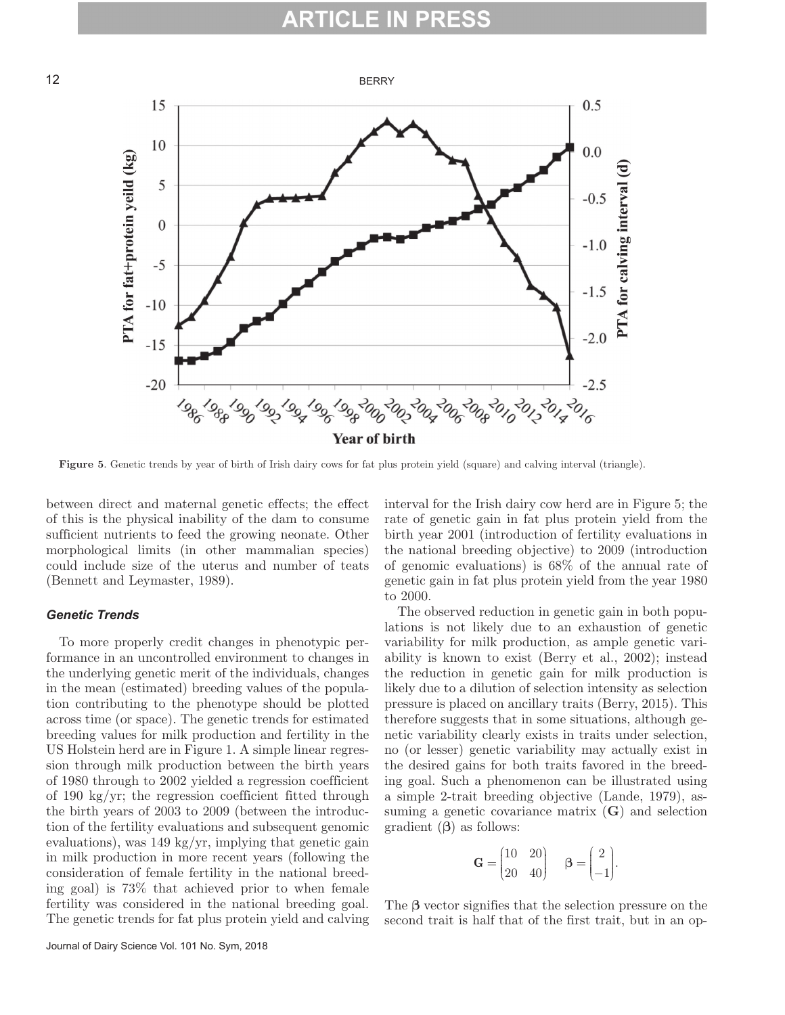

**Figure 5**. Genetic trends by year of birth of Irish dairy cows for fat plus protein yield (square) and calving interval (triangle).

between direct and maternal genetic effects; the effect of this is the physical inability of the dam to consume sufficient nutrients to feed the growing neonate. Other morphological limits (in other mammalian species) could include size of the uterus and number of teats (Bennett and Leymaster, 1989).

#### *Genetic Trends*

To more properly credit changes in phenotypic performance in an uncontrolled environment to changes in the underlying genetic merit of the individuals, changes in the mean (estimated) breeding values of the population contributing to the phenotype should be plotted across time (or space). The genetic trends for estimated breeding values for milk production and fertility in the US Holstein herd are in Figure 1. A simple linear regression through milk production between the birth years of 1980 through to 2002 yielded a regression coefficient of 190 kg/yr; the regression coefficient fitted through the birth years of 2003 to 2009 (between the introduction of the fertility evaluations and subsequent genomic evaluations), was 149 kg/yr, implying that genetic gain in milk production in more recent years (following the consideration of female fertility in the national breeding goal) is 73% that achieved prior to when female fertility was considered in the national breeding goal. The genetic trends for fat plus protein yield and calving interval for the Irish dairy cow herd are in Figure 5; the rate of genetic gain in fat plus protein yield from the birth year 2001 (introduction of fertility evaluations in the national breeding objective) to 2009 (introduction of genomic evaluations) is 68% of the annual rate of genetic gain in fat plus protein yield from the year 1980 to 2000.

The observed reduction in genetic gain in both populations is not likely due to an exhaustion of genetic variability for milk production, as ample genetic variability is known to exist (Berry et al., 2002); instead the reduction in genetic gain for milk production is likely due to a dilution of selection intensity as selection pressure is placed on ancillary traits (Berry, 2015). This therefore suggests that in some situations, although genetic variability clearly exists in traits under selection, no (or lesser) genetic variability may actually exist in the desired gains for both traits favored in the breeding goal. Such a phenomenon can be illustrated using a simple 2-trait breeding objective (Lande, 1979), assuming a genetic covariance matrix (**G**) and selection gradient (**β**) as follows:

$$
\mathbf{G} = \begin{pmatrix} 10 & 20 \\ 20 & 40 \end{pmatrix} \quad \beta = \begin{pmatrix} 2 \\ -1 \end{pmatrix}.
$$

The **β** vector signifies that the selection pressure on the second trait is half that of the first trait, but in an op-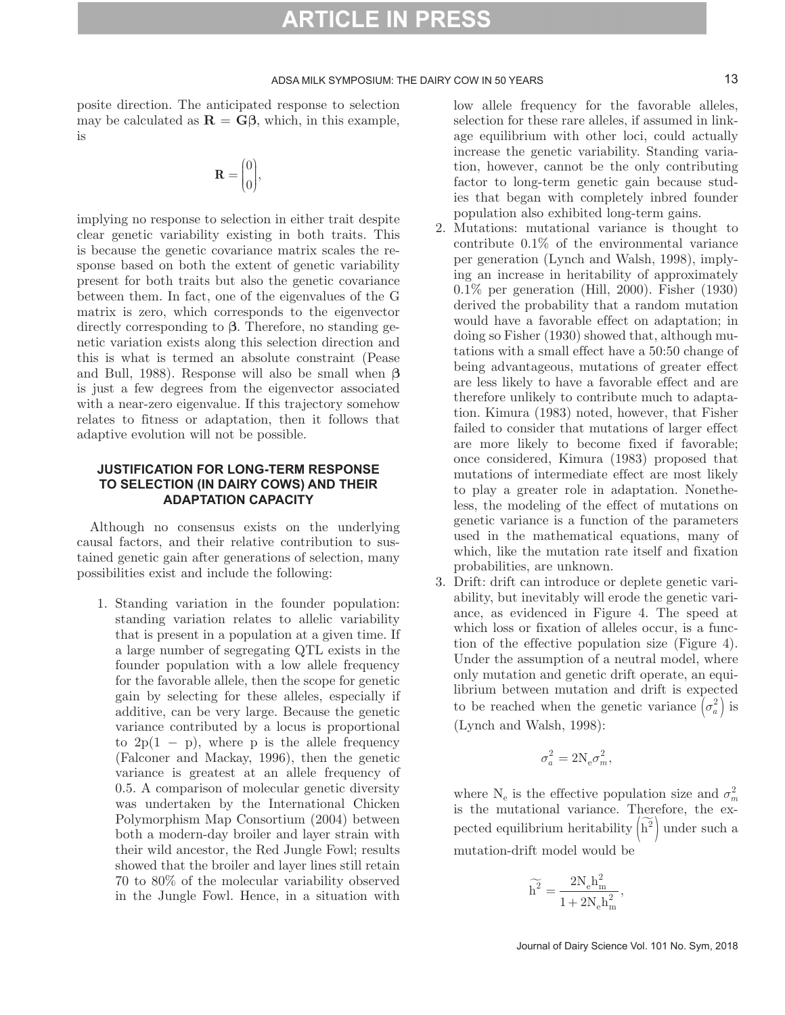#### ADSA MILK SYMPOSIUM: THE DAIRY COW IN 50 YEARS 13

posite direction. The anticipated response to selection may be calculated as  $\mathbf{R} = \mathbf{G}\beta$ , which, in this example, is

$$
\mathbf{R} = \begin{pmatrix} 0 \\ 0 \end{pmatrix},
$$

implying no response to selection in either trait despite clear genetic variability existing in both traits. This is because the genetic covariance matrix scales the response based on both the extent of genetic variability present for both traits but also the genetic covariance between them. In fact, one of the eigenvalues of the G matrix is zero, which corresponds to the eigenvector directly corresponding to **β**. Therefore, no standing genetic variation exists along this selection direction and this is what is termed an absolute constraint (Pease and Bull, 1988). Response will also be small when **β** is just a few degrees from the eigenvector associated with a near-zero eigenvalue. If this trajectory somehow relates to fitness or adaptation, then it follows that adaptive evolution will not be possible.

#### **JUSTIFICATION FOR LONG-TERM RESPONSE TO SELECTION (IN DAIRY COWS) AND THEIR ADAPTATION CAPACITY**

Although no consensus exists on the underlying causal factors, and their relative contribution to sustained genetic gain after generations of selection, many possibilities exist and include the following:

1. Standing variation in the founder population: standing variation relates to allelic variability that is present in a population at a given time. If a large number of segregating QTL exists in the founder population with a low allele frequency for the favorable allele, then the scope for genetic gain by selecting for these alleles, especially if additive, can be very large. Because the genetic variance contributed by a locus is proportional to  $2p(1 - p)$ , where p is the allele frequency (Falconer and Mackay, 1996), then the genetic variance is greatest at an allele frequency of 0.5. A comparison of molecular genetic diversity was undertaken by the International Chicken Polymorphism Map Consortium (2004) between both a modern-day broiler and layer strain with their wild ancestor, the Red Jungle Fowl; results showed that the broiler and layer lines still retain 70 to 80% of the molecular variability observed in the Jungle Fowl. Hence, in a situation with

low allele frequency for the favorable alleles, selection for these rare alleles, if assumed in linkage equilibrium with other loci, could actually increase the genetic variability. Standing variation, however, cannot be the only contributing factor to long-term genetic gain because studies that began with completely inbred founder population also exhibited long-term gains.

- 2. Mutations: mutational variance is thought to contribute 0.1% of the environmental variance per generation (Lynch and Walsh, 1998), implying an increase in heritability of approximately 0.1% per generation (Hill, 2000). Fisher (1930) derived the probability that a random mutation would have a favorable effect on adaptation; in doing so Fisher (1930) showed that, although mutations with a small effect have a 50:50 change of being advantageous, mutations of greater effect are less likely to have a favorable effect and are therefore unlikely to contribute much to adaptation. Kimura (1983) noted, however, that Fisher failed to consider that mutations of larger effect are more likely to become fixed if favorable; once considered, Kimura (1983) proposed that mutations of intermediate effect are most likely to play a greater role in adaptation. Nonetheless, the modeling of the effect of mutations on genetic variance is a function of the parameters used in the mathematical equations, many of which, like the mutation rate itself and fixation probabilities, are unknown.
- 3. Drift: drift can introduce or deplete genetic variability, but inevitably will erode the genetic variance, as evidenced in Figure 4. The speed at which loss or fixation of alleles occur, is a function of the effective population size (Figure 4). Under the assumption of a neutral model, where only mutation and genetic drift operate, an equilibrium between mutation and drift is expected to be reached when the genetic variance  $(\sigma_a^2)$  is (Lynch and Walsh, 1998):

$$
\sigma_a^2 = 2N_e \sigma_m^2,
$$

where  $N_e$  is the effective population size and  $\sigma_m^2$ is the mutational variance. Therefore, the expected equilibrium heritability  $\left(\widetilde{\mathbf{h}}^2\right)$  under such a mutation-drift model would be

$$
\widetilde{h^2}=\frac{2N_e h_m^2}{1+2N_e h_m^2},
$$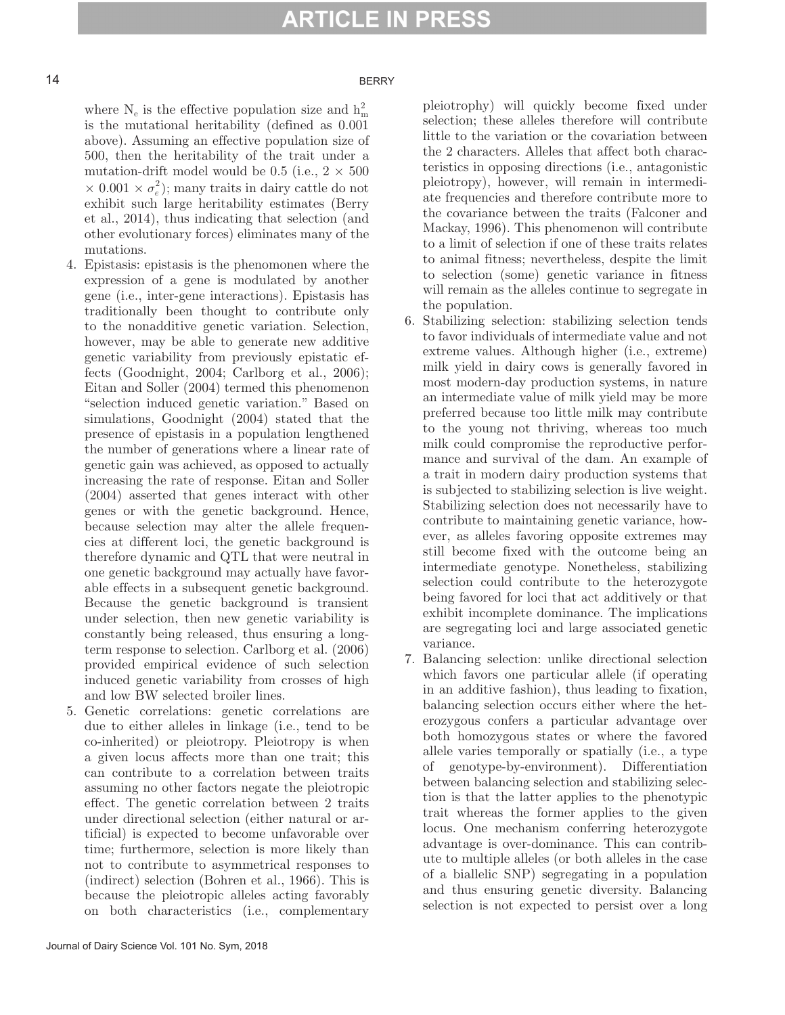#### 14 BERRY

where  $N_e$  is the effective population size and  $h_m^2$ is the mutational heritability (defined as 0.001 above). Assuming an effective population size of 500, then the heritability of the trait under a mutation-drift model would be 0.5 (i.e.,  $2 \times 500$  $\times$  0.001  $\times \sigma_e^2$ ); many traits in dairy cattle do not exhibit such large heritability estimates (Berry et al., 2014), thus indicating that selection (and other evolutionary forces) eliminates many of the mutations.

- 4. Epistasis: epistasis is the phenomonen where the expression of a gene is modulated by another gene (i.e., inter-gene interactions). Epistasis has traditionally been thought to contribute only to the nonadditive genetic variation. Selection, however, may be able to generate new additive genetic variability from previously epistatic effects (Goodnight, 2004; Carlborg et al., 2006); Eitan and Soller (2004) termed this phenomenon "selection induced genetic variation." Based on simulations, Goodnight (2004) stated that the presence of epistasis in a population lengthened the number of generations where a linear rate of genetic gain was achieved, as opposed to actually increasing the rate of response. Eitan and Soller (2004) asserted that genes interact with other genes or with the genetic background. Hence, because selection may alter the allele frequencies at different loci, the genetic background is therefore dynamic and QTL that were neutral in one genetic background may actually have favorable effects in a subsequent genetic background. Because the genetic background is transient under selection, then new genetic variability is constantly being released, thus ensuring a longterm response to selection. Carlborg et al. (2006) provided empirical evidence of such selection induced genetic variability from crosses of high and low BW selected broiler lines.
- 5. Genetic correlations: genetic correlations are due to either alleles in linkage (i.e., tend to be co-inherited) or pleiotropy. Pleiotropy is when a given locus affects more than one trait; this can contribute to a correlation between traits assuming no other factors negate the pleiotropic effect. The genetic correlation between 2 traits under directional selection (either natural or artificial) is expected to become unfavorable over time; furthermore, selection is more likely than not to contribute to asymmetrical responses to (indirect) selection (Bohren et al., 1966). This is because the pleiotropic alleles acting favorably on both characteristics (i.e., complementary

pleiotrophy) will quickly become fixed under selection; these alleles therefore will contribute little to the variation or the covariation between the 2 characters. Alleles that affect both characteristics in opposing directions (i.e., antagonistic pleiotropy), however, will remain in intermediate frequencies and therefore contribute more to the covariance between the traits (Falconer and Mackay, 1996). This phenomenon will contribute to a limit of selection if one of these traits relates to animal fitness; nevertheless, despite the limit to selection (some) genetic variance in fitness will remain as the alleles continue to segregate in the population.

- 6. Stabilizing selection: stabilizing selection tends to favor individuals of intermediate value and not extreme values. Although higher (i.e., extreme) milk yield in dairy cows is generally favored in most modern-day production systems, in nature an intermediate value of milk yield may be more preferred because too little milk may contribute to the young not thriving, whereas too much milk could compromise the reproductive performance and survival of the dam. An example of a trait in modern dairy production systems that is subjected to stabilizing selection is live weight. Stabilizing selection does not necessarily have to contribute to maintaining genetic variance, however, as alleles favoring opposite extremes may still become fixed with the outcome being an intermediate genotype. Nonetheless, stabilizing selection could contribute to the heterozygote being favored for loci that act additively or that exhibit incomplete dominance. The implications are segregating loci and large associated genetic variance.
- 7. Balancing selection: unlike directional selection which favors one particular allele (if operating in an additive fashion), thus leading to fixation, balancing selection occurs either where the heterozygous confers a particular advantage over both homozygous states or where the favored allele varies temporally or spatially (i.e., a type of genotype-by-environment). Differentiation between balancing selection and stabilizing selection is that the latter applies to the phenotypic trait whereas the former applies to the given locus. One mechanism conferring heterozygote advantage is over-dominance. This can contribute to multiple alleles (or both alleles in the case of a biallelic SNP) segregating in a population and thus ensuring genetic diversity. Balancing selection is not expected to persist over a long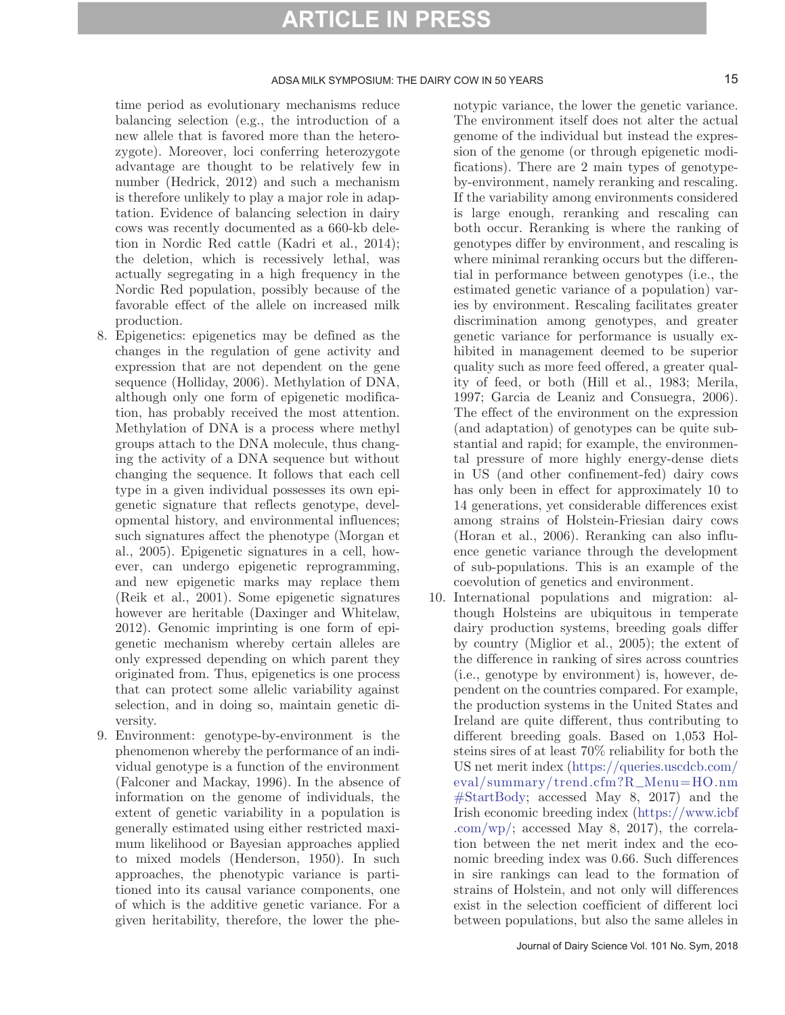#### ADSA MILK SYMPOSIUM: THE DAIRY COW IN 50 YEARS 15

time period as evolutionary mechanisms reduce balancing selection (e.g., the introduction of a new allele that is favored more than the heterozygote). Moreover, loci conferring heterozygote advantage are thought to be relatively few in number (Hedrick, 2012) and such a mechanism is therefore unlikely to play a major role in adaptation. Evidence of balancing selection in dairy cows was recently documented as a 660-kb deletion in Nordic Red cattle (Kadri et al., 2014); the deletion, which is recessively lethal, was actually segregating in a high frequency in the Nordic Red population, possibly because of the favorable effect of the allele on increased milk production.

- 8. Epigenetics: epigenetics may be defined as the changes in the regulation of gene activity and expression that are not dependent on the gene sequence (Holliday, 2006). Methylation of DNA, although only one form of epigenetic modification, has probably received the most attention. Methylation of DNA is a process where methyl groups attach to the DNA molecule, thus changing the activity of a DNA sequence but without changing the sequence. It follows that each cell type in a given individual possesses its own epigenetic signature that reflects genotype, developmental history, and environmental influences; such signatures affect the phenotype (Morgan et al., 2005). Epigenetic signatures in a cell, however, can undergo epigenetic reprogramming, and new epigenetic marks may replace them (Reik et al., 2001). Some epigenetic signatures however are heritable (Daxinger and Whitelaw, 2012). Genomic imprinting is one form of epigenetic mechanism whereby certain alleles are only expressed depending on which parent they originated from. Thus, epigenetics is one process that can protect some allelic variability against selection, and in doing so, maintain genetic diversity.
- 9. Environment: genotype-by-environment is the phenomenon whereby the performance of an individual genotype is a function of the environment (Falconer and Mackay, 1996). In the absence of information on the genome of individuals, the extent of genetic variability in a population is generally estimated using either restricted maximum likelihood or Bayesian approaches applied to mixed models (Henderson, 1950). In such approaches, the phenotypic variance is partitioned into its causal variance components, one of which is the additive genetic variance. For a given heritability, therefore, the lower the phe-

notypic variance, the lower the genetic variance. The environment itself does not alter the actual genome of the individual but instead the expression of the genome (or through epigenetic modifications). There are 2 main types of genotypeby-environment, namely reranking and rescaling. If the variability among environments considered is large enough, reranking and rescaling can both occur. Reranking is where the ranking of genotypes differ by environment, and rescaling is where minimal reranking occurs but the differential in performance between genotypes (i.e., the estimated genetic variance of a population) varies by environment. Rescaling facilitates greater discrimination among genotypes, and greater genetic variance for performance is usually exhibited in management deemed to be superior quality such as more feed offered, a greater quality of feed, or both (Hill et al., 1983; Merila, 1997; Garcia de Leaniz and Consuegra, 2006). The effect of the environment on the expression (and adaptation) of genotypes can be quite substantial and rapid; for example, the environmental pressure of more highly energy-dense diets in US (and other confinement-fed) dairy cows has only been in effect for approximately 10 to 14 generations, yet considerable differences exist among strains of Holstein-Friesian dairy cows (Horan et al., 2006). Reranking can also influence genetic variance through the development of sub-populations. This is an example of the coevolution of genetics and environment.

10. International populations and migration: although Holsteins are ubiquitous in temperate dairy production systems, breeding goals differ by country (Miglior et al., 2005); the extent of the difference in ranking of sires across countries (i.e., genotype by environment) is, however, dependent on the countries compared. For example, the production systems in the United States and Ireland are quite different, thus contributing to different breeding goals. Based on 1,053 Holsteins sires of at least 70% reliability for both the US net merit index [\(https://queries.uscdcb.com/](https://queries.uscdcb.com/eval/summary/trend.cfm?R_Menu=HO.nm#StartBody) [eval/summary/trend.cfm?R\\_Menu=HO.nm](https://queries.uscdcb.com/eval/summary/trend.cfm?R_Menu=HO.nm#StartBody) [#StartBody](https://queries.uscdcb.com/eval/summary/trend.cfm?R_Menu=HO.nm#StartBody); accessed May 8, 2017) and the Irish economic breeding index ([https://www.icbf](https://www.icbf.com/wp/) [.com/wp/;](https://www.icbf.com/wp/) accessed May 8, 2017), the correlation between the net merit index and the economic breeding index was 0.66. Such differences in sire rankings can lead to the formation of strains of Holstein, and not only will differences exist in the selection coefficient of different loci between populations, but also the same alleles in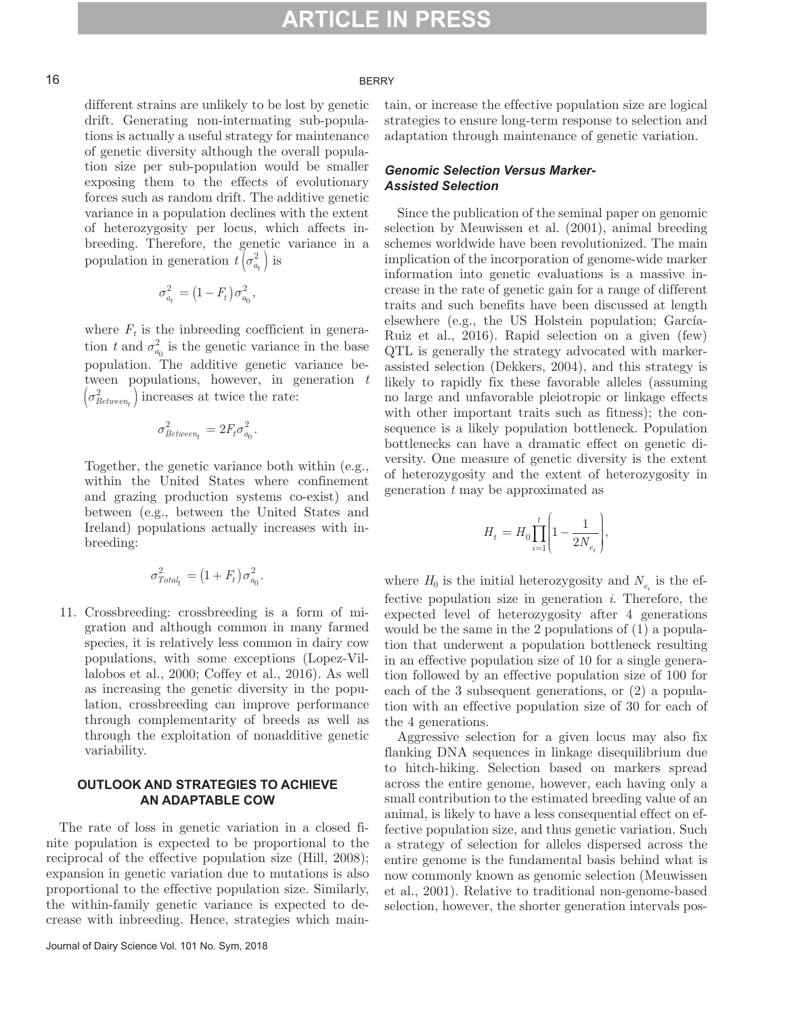#### 16 BERRY

different strains are unlikely to be lost by genetic drift. Generating non-intermating sub-populations is actually a useful strategy for maintenance of genetic diversity although the overall population size per sub-population would be smaller exposing them to the effects of evolutionary forces such as random drift. The additive genetic variance in a population declines with the extent of heterozygosity per locus, which affects inbreeding. Therefore, the genetic variance in a population in generation  $t\left(\sigma_{a_t}^2\right)$  is

$$
\sigma_{a_t}^2 = \left(1-F_t\right)\sigma_{a_0}^2,
$$

where  $F_t$  is the indreeding coefficient in generation *t* and  $\sigma_{a_0}^2$  is the genetic variance in the base population. The additive genetic variance between populations, however, in generation *t*  $\left(\sigma_{Between_t}^2\right)$  increases at twice the rate:

$$
\sigma_{Between_t}^2 = 2F_t \sigma_{a_0}^2.
$$

 Together, the genetic variance both within (e.g., within the United States where confinement and grazing production systems co-exist) and between (e.g., between the United States and Ireland) populations actually increases with inbreeding:

$$
\sigma^2_{Total_t} = \left(1+F_t\right)\sigma^2_{a_0}.
$$

11. Crossbreeding: crossbreeding is a form of migration and although common in many farmed species, it is relatively less common in dairy cow populations, with some exceptions (Lopez-Villalobos et al., 2000; Coffey et al., 2016). As well as increasing the genetic diversity in the population, crossbreeding can improve performance through complementarity of breeds as well as through the exploitation of nonadditive genetic variability.

#### **OUTLOOK AND STRATEGIES TO ACHIEVE AN ADAPTABLE COW**

The rate of loss in genetic variation in a closed finite population is expected to be proportional to the reciprocal of the effective population size (Hill, 2008); expansion in genetic variation due to mutations is also proportional to the effective population size. Similarly, the within-family genetic variance is expected to decrease with inbreeding. Hence, strategies which maintain, or increase the effective population size are logical strategies to ensure long-term response to selection and adaptation through maintenance of genetic variation.

#### *Genomic Selection Versus Marker-Assisted Selection*

Since the publication of the seminal paper on genomic selection by Meuwissen et al. (2001), animal breeding schemes worldwide have been revolutionized. The main implication of the incorporation of genome-wide marker information into genetic evaluations is a massive increase in the rate of genetic gain for a range of different traits and such benefits have been discussed at length elsewhere (e.g., the US Holstein population; García-Ruiz et al., 2016). Rapid selection on a given (few) QTL is generally the strategy advocated with markerassisted selection (Dekkers, 2004), and this strategy is likely to rapidly fix these favorable alleles (assuming no large and unfavorable pleiotropic or linkage effects with other important traits such as fitness); the consequence is a likely population bottleneck. Population bottlenecks can have a dramatic effect on genetic diversity. One measure of genetic diversity is the extent of heterozygosity and the extent of heterozygosity in generation *t* may be approximated as

$$
H_t=H_0\prod_{i=1}^t\Biggl(1-\frac{1}{2N_{e_i}}\Biggr),
$$

where  $H_0$  is the initial heterozygosity and  $N_{e_i}$  is the effective population size in generation *i*. Therefore, the expected level of heterozygosity after 4 generations would be the same in the 2 populations of (1) a population that underwent a population bottleneck resulting in an effective population size of 10 for a single generation followed by an effective population size of 100 for each of the 3 subsequent generations, or (2) a population with an effective population size of 30 for each of the 4 generations.

Aggressive selection for a given locus may also fix flanking DNA sequences in linkage disequilibrium due to hitch-hiking. Selection based on markers spread across the entire genome, however, each having only a small contribution to the estimated breeding value of an animal, is likely to have a less consequential effect on effective population size, and thus genetic variation. Such a strategy of selection for alleles dispersed across the entire genome is the fundamental basis behind what is now commonly known as genomic selection (Meuwissen et al., 2001). Relative to traditional non-genome-based selection, however, the shorter generation intervals pos-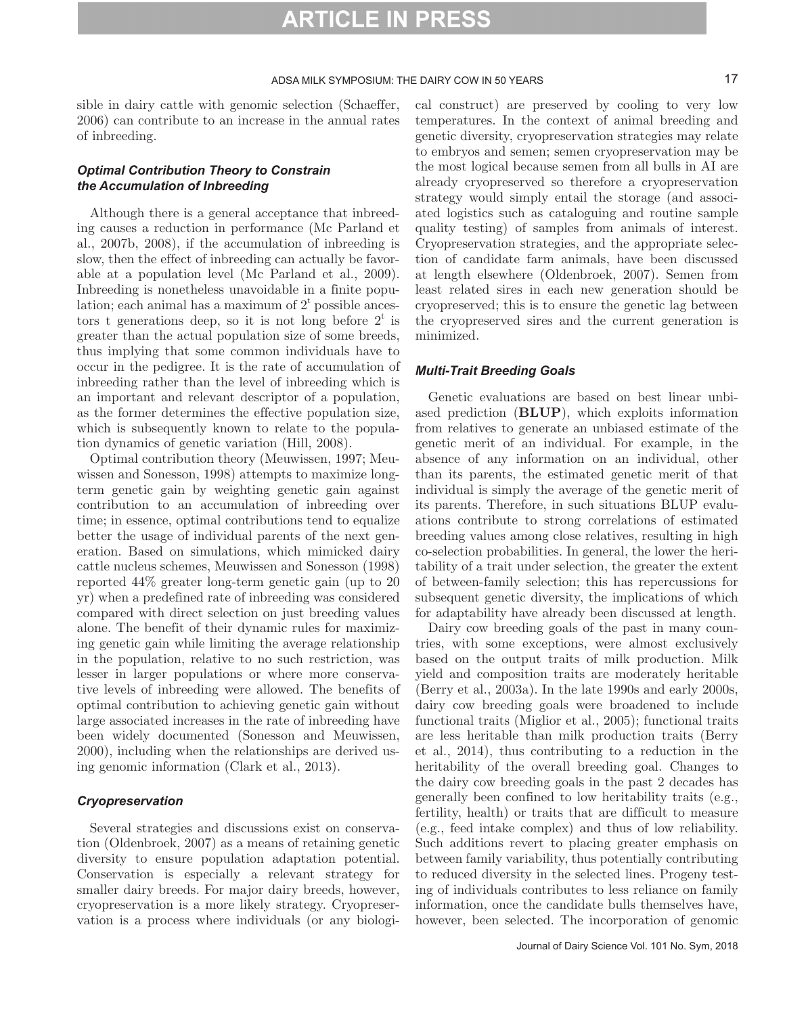#### ADSA MILK SYMPOSIUM: THE DAIRY COW IN 50 YEARS 17

sible in dairy cattle with genomic selection (Schaeffer, 2006) can contribute to an increase in the annual rates of inbreeding.

#### *Optimal Contribution Theory to Constrain the Accumulation of Inbreeding*

Although there is a general acceptance that inbreeding causes a reduction in performance (Mc Parland et al., 2007b, 2008), if the accumulation of inbreeding is slow, then the effect of inbreeding can actually be favorable at a population level (Mc Parland et al., 2009). Inbreeding is nonetheless unavoidable in a finite population; each animal has a maximum of  $2<sup>t</sup>$  possible ancestors t generations deep, so it is not long before  $2^t$  is greater than the actual population size of some breeds, thus implying that some common individuals have to occur in the pedigree. It is the rate of accumulation of inbreeding rather than the level of inbreeding which is an important and relevant descriptor of a population, as the former determines the effective population size, which is subsequently known to relate to the population dynamics of genetic variation (Hill, 2008).

Optimal contribution theory (Meuwissen, 1997; Meuwissen and Sonesson, 1998) attempts to maximize longterm genetic gain by weighting genetic gain against contribution to an accumulation of inbreeding over time; in essence, optimal contributions tend to equalize better the usage of individual parents of the next generation. Based on simulations, which mimicked dairy cattle nucleus schemes, Meuwissen and Sonesson (1998) reported 44% greater long-term genetic gain (up to 20 yr) when a predefined rate of inbreeding was considered compared with direct selection on just breeding values alone. The benefit of their dynamic rules for maximizing genetic gain while limiting the average relationship in the population, relative to no such restriction, was lesser in larger populations or where more conservative levels of inbreeding were allowed. The benefits of optimal contribution to achieving genetic gain without large associated increases in the rate of inbreeding have been widely documented (Sonesson and Meuwissen, 2000), including when the relationships are derived using genomic information (Clark et al., 2013).

#### *Cryopreservation*

Several strategies and discussions exist on conservation (Oldenbroek, 2007) as a means of retaining genetic diversity to ensure population adaptation potential. Conservation is especially a relevant strategy for smaller dairy breeds. For major dairy breeds, however, cryopreservation is a more likely strategy. Cryopreservation is a process where individuals (or any biological construct) are preserved by cooling to very low temperatures. In the context of animal breeding and genetic diversity, cryopreservation strategies may relate to embryos and semen; semen cryopreservation may be the most logical because semen from all bulls in AI are already cryopreserved so therefore a cryopreservation strategy would simply entail the storage (and associated logistics such as cataloguing and routine sample quality testing) of samples from animals of interest. Cryopreservation strategies, and the appropriate selection of candidate farm animals, have been discussed at length elsewhere (Oldenbroek, 2007). Semen from least related sires in each new generation should be cryopreserved; this is to ensure the genetic lag between the cryopreserved sires and the current generation is minimized.

#### *Multi-Trait Breeding Goals*

Genetic evaluations are based on best linear unbiased prediction (**BLUP**), which exploits information from relatives to generate an unbiased estimate of the genetic merit of an individual. For example, in the absence of any information on an individual, other than its parents, the estimated genetic merit of that individual is simply the average of the genetic merit of its parents. Therefore, in such situations BLUP evaluations contribute to strong correlations of estimated breeding values among close relatives, resulting in high co-selection probabilities. In general, the lower the heritability of a trait under selection, the greater the extent of between-family selection; this has repercussions for subsequent genetic diversity, the implications of which for adaptability have already been discussed at length.

Dairy cow breeding goals of the past in many countries, with some exceptions, were almost exclusively based on the output traits of milk production. Milk yield and composition traits are moderately heritable (Berry et al., 2003a). In the late 1990s and early 2000s, dairy cow breeding goals were broadened to include functional traits (Miglior et al., 2005); functional traits are less heritable than milk production traits (Berry et al., 2014), thus contributing to a reduction in the heritability of the overall breeding goal. Changes to the dairy cow breeding goals in the past 2 decades has generally been confined to low heritability traits (e.g., fertility, health) or traits that are difficult to measure (e.g., feed intake complex) and thus of low reliability. Such additions revert to placing greater emphasis on between family variability, thus potentially contributing to reduced diversity in the selected lines. Progeny testing of individuals contributes to less reliance on family information, once the candidate bulls themselves have, however, been selected. The incorporation of genomic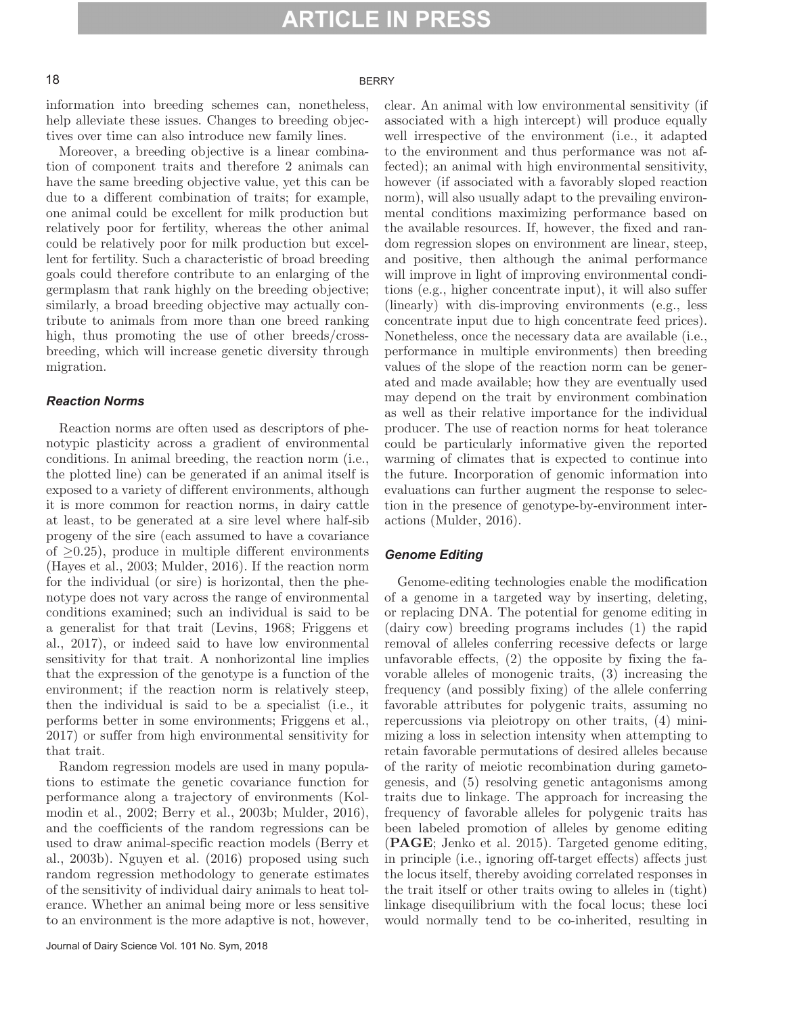#### 18 BERRY

information into breeding schemes can, nonetheless, help alleviate these issues. Changes to breeding objectives over time can also introduce new family lines.

Moreover, a breeding objective is a linear combination of component traits and therefore 2 animals can have the same breeding objective value, yet this can be due to a different combination of traits; for example, one animal could be excellent for milk production but relatively poor for fertility, whereas the other animal could be relatively poor for milk production but excellent for fertility. Such a characteristic of broad breeding goals could therefore contribute to an enlarging of the germplasm that rank highly on the breeding objective; similarly, a broad breeding objective may actually contribute to animals from more than one breed ranking high, thus promoting the use of other breeds/crossbreeding, which will increase genetic diversity through migration.

#### *Reaction Norms*

Reaction norms are often used as descriptors of phenotypic plasticity across a gradient of environmental conditions. In animal breeding, the reaction norm (i.e., the plotted line) can be generated if an animal itself is exposed to a variety of different environments, although it is more common for reaction norms, in dairy cattle at least, to be generated at a sire level where half-sib progeny of the sire (each assumed to have a covariance of  $\geq$ 0.25), produce in multiple different environments (Hayes et al., 2003; Mulder, 2016). If the reaction norm for the individual (or sire) is horizontal, then the phenotype does not vary across the range of environmental conditions examined; such an individual is said to be a generalist for that trait (Levins, 1968; Friggens et al., 2017), or indeed said to have low environmental sensitivity for that trait. A nonhorizontal line implies that the expression of the genotype is a function of the environment; if the reaction norm is relatively steep, then the individual is said to be a specialist (i.e., it performs better in some environments; Friggens et al., 2017) or suffer from high environmental sensitivity for that trait.

Random regression models are used in many populations to estimate the genetic covariance function for performance along a trajectory of environments (Kolmodin et al., 2002; Berry et al., 2003b; Mulder, 2016), and the coefficients of the random regressions can be used to draw animal-specific reaction models (Berry et al., 2003b). Nguyen et al. (2016) proposed using such random regression methodology to generate estimates of the sensitivity of individual dairy animals to heat tolerance. Whether an animal being more or less sensitive to an environment is the more adaptive is not, however,

clear. An animal with low environmental sensitivity (if associated with a high intercept) will produce equally well irrespective of the environment (i.e., it adapted to the environment and thus performance was not affected); an animal with high environmental sensitivity, however (if associated with a favorably sloped reaction norm), will also usually adapt to the prevailing environmental conditions maximizing performance based on the available resources. If, however, the fixed and random regression slopes on environment are linear, steep, and positive, then although the animal performance will improve in light of improving environmental conditions (e.g., higher concentrate input), it will also suffer (linearly) with dis-improving environments (e.g., less concentrate input due to high concentrate feed prices). Nonetheless, once the necessary data are available (i.e., performance in multiple environments) then breeding values of the slope of the reaction norm can be generated and made available; how they are eventually used may depend on the trait by environment combination as well as their relative importance for the individual producer. The use of reaction norms for heat tolerance could be particularly informative given the reported warming of climates that is expected to continue into the future. Incorporation of genomic information into evaluations can further augment the response to selection in the presence of genotype-by-environment interactions (Mulder, 2016).

#### *Genome Editing*

Genome-editing technologies enable the modification of a genome in a targeted way by inserting, deleting, or replacing DNA. The potential for genome editing in (dairy cow) breeding programs includes (1) the rapid removal of alleles conferring recessive defects or large unfavorable effects, (2) the opposite by fixing the favorable alleles of monogenic traits, (3) increasing the frequency (and possibly fixing) of the allele conferring favorable attributes for polygenic traits, assuming no repercussions via pleiotropy on other traits, (4) minimizing a loss in selection intensity when attempting to retain favorable permutations of desired alleles because of the rarity of meiotic recombination during gametogenesis, and (5) resolving genetic antagonisms among traits due to linkage. The approach for increasing the frequency of favorable alleles for polygenic traits has been labeled promotion of alleles by genome editing (**PAGE**; Jenko et al. 2015). Targeted genome editing, in principle (i.e., ignoring off-target effects) affects just the locus itself, thereby avoiding correlated responses in the trait itself or other traits owing to alleles in (tight) linkage disequilibrium with the focal locus; these loci would normally tend to be co-inherited, resulting in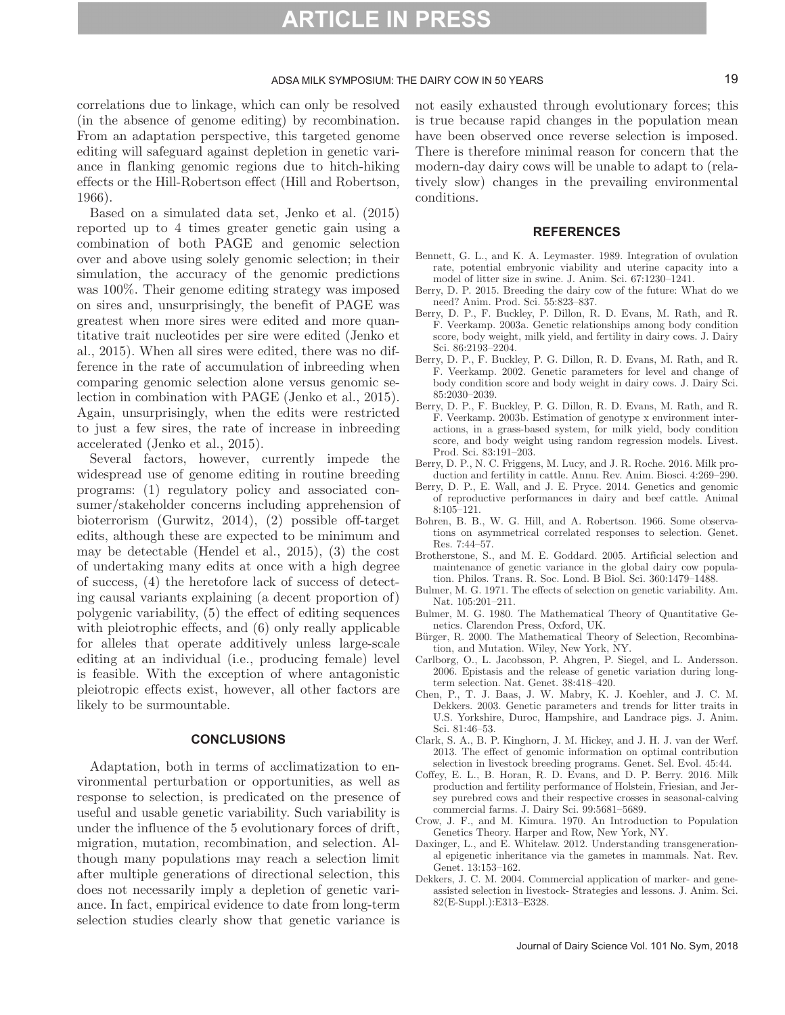#### ADSA MILK SYMPOSIUM: THE DAIRY COW IN 50 YEARS 19

correlations due to linkage, which can only be resolved (in the absence of genome editing) by recombination. From an adaptation perspective, this targeted genome editing will safeguard against depletion in genetic variance in flanking genomic regions due to hitch-hiking effects or the Hill-Robertson effect (Hill and Robertson, 1966).

Based on a simulated data set, Jenko et al. (2015) reported up to 4 times greater genetic gain using a combination of both PAGE and genomic selection over and above using solely genomic selection; in their simulation, the accuracy of the genomic predictions was 100%. Their genome editing strategy was imposed on sires and, unsurprisingly, the benefit of PAGE was greatest when more sires were edited and more quantitative trait nucleotides per sire were edited (Jenko et al., 2015). When all sires were edited, there was no difference in the rate of accumulation of inbreeding when comparing genomic selection alone versus genomic selection in combination with PAGE (Jenko et al., 2015). Again, unsurprisingly, when the edits were restricted to just a few sires, the rate of increase in inbreeding accelerated (Jenko et al., 2015).

Several factors, however, currently impede the widespread use of genome editing in routine breeding programs: (1) regulatory policy and associated consumer/stakeholder concerns including apprehension of bioterrorism (Gurwitz, 2014), (2) possible off-target edits, although these are expected to be minimum and may be detectable (Hendel et al., 2015), (3) the cost of undertaking many edits at once with a high degree of success, (4) the heretofore lack of success of detecting causal variants explaining (a decent proportion of) polygenic variability, (5) the effect of editing sequences with pleiotrophic effects, and  $(6)$  only really applicable for alleles that operate additively unless large-scale editing at an individual (i.e., producing female) level is feasible. With the exception of where antagonistic pleiotropic effects exist, however, all other factors are likely to be surmountable.

#### **CONCLUSIONS**

Adaptation, both in terms of acclimatization to environmental perturbation or opportunities, as well as response to selection, is predicated on the presence of useful and usable genetic variability. Such variability is under the influence of the 5 evolutionary forces of drift, migration, mutation, recombination, and selection. Although many populations may reach a selection limit after multiple generations of directional selection, this does not necessarily imply a depletion of genetic variance. In fact, empirical evidence to date from long-term selection studies clearly show that genetic variance is not easily exhausted through evolutionary forces; this is true because rapid changes in the population mean have been observed once reverse selection is imposed. There is therefore minimal reason for concern that the modern-day dairy cows will be unable to adapt to (relatively slow) changes in the prevailing environmental conditions.

#### **REFERENCES**

- Bennett, G. L., and K. A. Leymaster. 1989. Integration of ovulation rate, potential embryonic viability and uterine capacity into a model of litter size in swine. J. Anim. Sci. 67:1230–1241.
- Berry, D. P. 2015. Breeding the dairy cow of the future: What do we need? Anim. Prod. Sci. 55:823–837.
- Berry, D. P., F. Buckley, P. Dillon, R. D. Evans, M. Rath, and R. F. Veerkamp. 2003a. Genetic relationships among body condition score, body weight, milk yield, and fertility in dairy cows. J. Dairy Sci. 86:2193–2204.
- Berry, D. P., F. Buckley, P. G. Dillon, R. D. Evans, M. Rath, and R. F. Veerkamp. 2002. Genetic parameters for level and change of body condition score and body weight in dairy cows. J. Dairy Sci. 85:2030–2039.
- Berry, D. P., F. Buckley, P. G. Dillon, R. D. Evans, M. Rath, and R. F. Veerkamp. 2003b. Estimation of genotype x environment interactions, in a grass-based system, for milk yield, body condition score, and body weight using random regression models. Livest. Prod. Sci. 83:191–203.
- Berry, D. P., N. C. Friggens, M. Lucy, and J. R. Roche. 2016. Milk production and fertility in cattle. Annu. Rev. Anim. Biosci. 4:269–290.
- Berry, D. P., E. Wall, and J. E. Pryce. 2014. Genetics and genomic of reproductive performances in dairy and beef cattle. Animal 8:105–121.
- Bohren, B. B., W. G. Hill, and A. Robertson. 1966. Some observations on asymmetrical correlated responses to selection. Genet. Res. 7:44–57.
- Brotherstone, S., and M. E. Goddard. 2005. Artificial selection and maintenance of genetic variance in the global dairy cow population. Philos. Trans. R. Soc. Lond. B Biol. Sci. 360:1479–1488.
- Bulmer, M. G. 1971. The effects of selection on genetic variability. Am. Nat. 105:201–211.
- Bulmer, M. G. 1980. The Mathematical Theory of Quantitative Genetics. Clarendon Press, Oxford, UK.
- Bürger, R. 2000. The Mathematical Theory of Selection, Recombination, and Mutation. Wiley, New York, NY.
- Carlborg, O., L. Jacobsson, P. Ahgren, P. Siegel, and L. Andersson. 2006. Epistasis and the release of genetic variation during longterm selection. Nat. Genet. 38:418–420.
- Chen, P., T. J. Baas, J. W. Mabry, K. J. Koehler, and J. C. M. Dekkers. 2003. Genetic parameters and trends for litter traits in U.S. Yorkshire, Duroc, Hampshire, and Landrace pigs. J. Anim. Sci. 81:46–53.
- Clark, S. A., B. P. Kinghorn, J. M. Hickey, and J. H. J. van der Werf. 2013. The effect of genomic information on optimal contribution selection in livestock breeding programs. Genet. Sel. Evol. 45:44.
- Coffey, E. L., B. Horan, R. D. Evans, and D. P. Berry. 2016. Milk production and fertility performance of Holstein, Friesian, and Jersey purebred cows and their respective crosses in seasonal-calving commercial farms. J. Dairy Sci. 99:5681–5689.
- Crow, J. F., and M. Kimura. 1970. An Introduction to Population Genetics Theory. Harper and Row, New York, NY.
- Daxinger, L., and E. Whitelaw. 2012. Understanding transgenerational epigenetic inheritance via the gametes in mammals. Nat. Rev. Genet. 13:153–162.
- Dekkers, J. C. M. 2004. Commercial application of marker- and geneassisted selection in livestock- Strategies and lessons. J. Anim. Sci. 82(E-Suppl.):E313–E328.

Journal of Dairy Science Vol. 101 No. Sym, 2018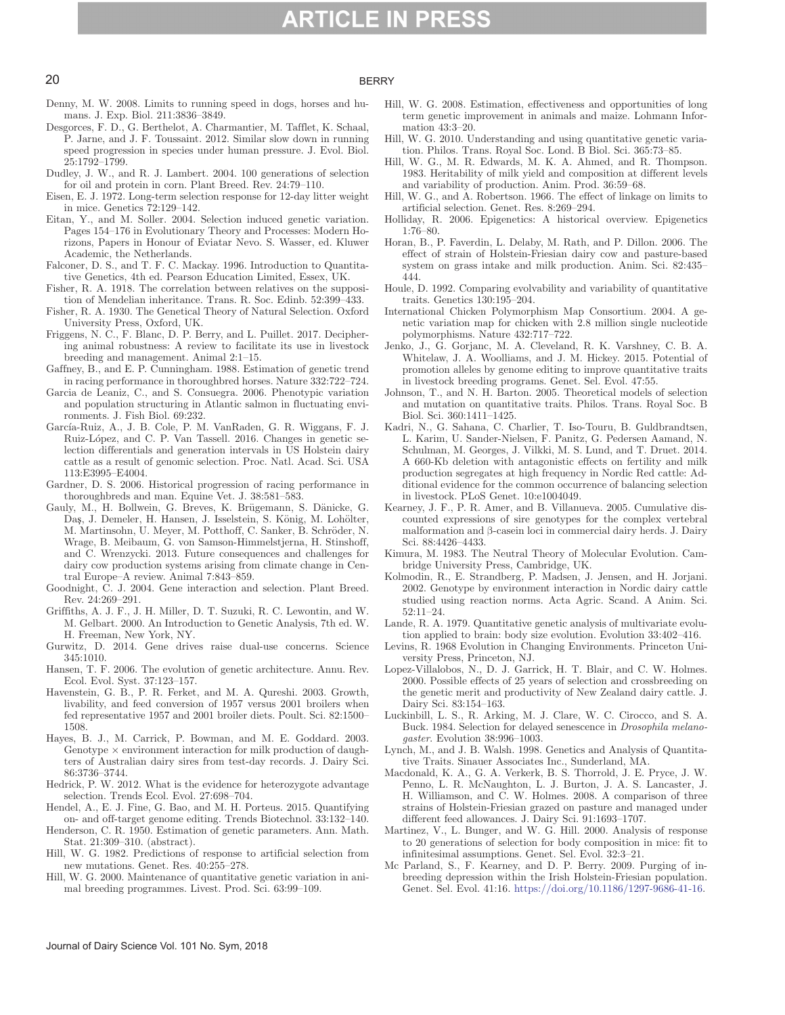#### 20 BERRY

- Denny, M. W. 2008. Limits to running speed in dogs, horses and humans. J. Exp. Biol. 211:3836–3849.
- Desgorces, F. D., G. Berthelot, A. Charmantier, M. Tafflet, K. Schaal, P. Jarne, and J. F. Toussaint. 2012. Similar slow down in running speed progression in species under human pressure. J. Evol. Biol. 25:1792–1799.
- Dudley, J. W., and R. J. Lambert. 2004. 100 generations of selection for oil and protein in corn. Plant Breed. Rev. 24:79–110.
- Eisen, E. J. 1972. Long-term selection response for 12-day litter weight in mice. Genetics 72:129–142.
- Eitan, Y., and M. Soller. 2004. Selection induced genetic variation. Pages 154–176 in Evolutionary Theory and Processes: Modern Horizons, Papers in Honour of Eviatar Nevo. S. Wasser, ed. Kluwer Academic, the Netherlands.
- Falconer, D. S., and T. F. C. Mackay. 1996. Introduction to Quantitative Genetics, 4th ed. Pearson Education Limited, Essex, UK.
- Fisher, R. A. 1918. The correlation between relatives on the supposition of Mendelian inheritance. Trans. R. Soc. Edinb. 52:399–433.
- Fisher, R. A. 1930. The Genetical Theory of Natural Selection. Oxford University Press, Oxford, UK.
- Friggens, N. C., F. Blanc, D. P. Berry, and L. Puillet. 2017. Deciphering animal robustness: A review to facilitate its use in livestock breeding and management. Animal 2:1–15.
- Gaffney, B., and E. P. Cunningham. 1988. Estimation of genetic trend in racing performance in thoroughbred horses. Nature 332:722–724.
- Garcia de Leaniz, C., and S. Consuegra. 2006. Phenotypic variation and population structuring in Atlantic salmon in fluctuating environments. J. Fish Biol. 69:232.
- García-Ruiz, A., J. B. Cole, P. M. VanRaden, G. R. Wiggans, F. J. Ruiz-López, and C. P. Van Tassell. 2016. Changes in genetic selection differentials and generation intervals in US Holstein dairy cattle as a result of genomic selection. Proc. Natl. Acad. Sci. USA 113:E3995–E4004.
- Gardner, D. S. 2006. Historical progression of racing performance in thoroughbreds and man. Equine Vet. J. 38:581–583.
- Gauly, M., H. Bollwein, G. Breves, K. Brügemann, S. Dänicke, G. Daş, J. Demeler, H. Hansen, J. Isselstein, S. König, M. Lohölter, M. Martinsohn, U. Meyer, M. Potthoff, C. Sanker, B. Schröder, N. Wrage, B. Meibaum, G. von Samson-Himmelstjerna, H. Stinshoff, and C. Wrenzycki. 2013. Future consequences and challenges for dairy cow production systems arising from climate change in Central Europe–A review. Animal 7:843–859.
- Goodnight, C. J. 2004. Gene interaction and selection. Plant Breed. Rev. 24:269–291.
- Griffiths, A. J. F., J. H. Miller, D. T. Suzuki, R. C. Lewontin, and W. M. Gelbart. 2000. An Introduction to Genetic Analysis, 7th ed. W. H. Freeman, New York, NY.
- Gurwitz, D. 2014. Gene drives raise dual-use concerns. Science 345:1010.
- Hansen, T. F. 2006. The evolution of genetic architecture. Annu. Rev. Ecol. Evol. Syst. 37:123–157.
- Havenstein, G. B., P. R. Ferket, and M. A. Qureshi. 2003. Growth, livability, and feed conversion of 1957 versus 2001 broilers when fed representative 1957 and 2001 broiler diets. Poult. Sci. 82:1500– 1508.
- Hayes, B. J., M. Carrick, P. Bowman, and M. E. Goddard. 2003. Genotype  $\times$  environment interaction for milk production of daughters of Australian dairy sires from test-day records. J. Dairy Sci. 86:3736–3744.
- Hedrick, P. W. 2012. What is the evidence for heterozygote advantage selection. Trends Ecol. Evol. 27:698–704.
- Hendel, A., E. J. Fine, G. Bao, and M. H. Porteus. 2015. Quantifying on- and off-target genome editing. Trends Biotechnol. 33:132–140.
- Henderson, C. R. 1950. Estimation of genetic parameters. Ann. Math. Stat. 21:309–310. (abstract).
- Hill, W. G. 1982. Predictions of response to artificial selection from new mutations. Genet. Res. 40:255–278.
- Hill, W. G. 2000. Maintenance of quantitative genetic variation in animal breeding programmes. Livest. Prod. Sci. 63:99–109.
- Hill, W. G. 2008. Estimation, effectiveness and opportunities of long term genetic improvement in animals and maize. Lohmann Information 43:3–20.
- Hill, W. G. 2010. Understanding and using quantitative genetic variation. Philos. Trans. Royal Soc. Lond. B Biol. Sci. 365:73–85.
- Hill, W. G., M. R. Edwards, M. K. A. Ahmed, and R. Thompson. 1983. Heritability of milk yield and composition at different levels and variability of production. Anim. Prod. 36:59–68.
- Hill, W. G., and A. Robertson. 1966. The effect of linkage on limits to artificial selection. Genet. Res. 8:269–294.
- Holliday, R. 2006. Epigenetics: A historical overview. Epigenetics 1:76–80.
- Horan, B., P. Faverdin, L. Delaby, M. Rath, and P. Dillon. 2006. The effect of strain of Holstein-Friesian dairy cow and pasture-based system on grass intake and milk production. Anim. Sci. 82:435– 444.
- Houle, D. 1992. Comparing evolvability and variability of quantitative traits. Genetics 130:195–204.
- International Chicken Polymorphism Map Consortium. 2004. A genetic variation map for chicken with 2.8 million single nucleotide polymorphisms. Nature 432:717–722.
- Jenko, J., G. Gorjanc, M. A. Cleveland, R. K. Varshney, C. B. A. Whitelaw, J. A. Woolliams, and J. M. Hickey. 2015. Potential of promotion alleles by genome editing to improve quantitative traits in livestock breeding programs. Genet. Sel. Evol. 47:55.
- Johnson, T., and N. H. Barton. 2005. Theoretical models of selection and mutation on quantitative traits. Philos. Trans. Royal Soc. B Biol. Sci. 360:1411–1425.
- Kadri, N., G. Sahana, C. Charlier, T. Iso-Touru, B. Guldbrandtsen, L. Karim, U. Sander-Nielsen, F. Panitz, G. Pedersen Aamand, N. Schulman, M. Georges, J. Vilkki, M. S. Lund, and T. Druet. 2014. A 660-Kb deletion with antagonistic effects on fertility and milk production segregates at high frequency in Nordic Red cattle: Additional evidence for the common occurrence of balancing selection in livestock. PLoS Genet. 10:e1004049.
- Kearney, J. F., P. R. Amer, and B. Villanueva. 2005. Cumulative discounted expressions of sire genotypes for the complex vertebral malformation and β-casein loci in commercial dairy herds. J. Dairy Sci. 88:4426–4433.
- Kimura, M. 1983. The Neutral Theory of Molecular Evolution. Cambridge University Press, Cambridge, UK.
- Kolmodin, R., E. Strandberg, P. Madsen, J. Jensen, and H. Jorjani. 2002. Genotype by environment interaction in Nordic dairy cattle studied using reaction norms. Acta Agric. Scand. A Anim. Sci. 52:11–24.
- Lande, R. A. 1979. Quantitative genetic analysis of multivariate evolution applied to brain: body size evolution. Evolution 33:402–416.
- Levins, R. 1968 Evolution in Changing Environments. Princeton University Press, Princeton, NJ.
- Lopez-Villalobos, N., D. J. Garrick, H. T. Blair, and C. W. Holmes. 2000. Possible effects of 25 years of selection and crossbreeding on the genetic merit and productivity of New Zealand dairy cattle. J. Dairy Sci. 83:154–163.
- Luckinbill, L. S., R. Arking, M. J. Clare, W. C. Cirocco, and S. A. Buck. 1984. Selection for delayed senescence in *Drosophila melanogaster*. Evolution 38:996–1003.
- Lynch, M., and J. B. Walsh. 1998. Genetics and Analysis of Quantitative Traits. Sinauer Associates Inc., Sunderland, MA.
- Macdonald, K. A., G. A. Verkerk, B. S. Thorrold, J. E. Pryce, J. W. Penno, L. R. McNaughton, L. J. Burton, J. A. S. Lancaster, J. H. Williamson, and C. W. Holmes. 2008. A comparison of three strains of Holstein-Friesian grazed on pasture and managed under different feed allowances. J. Dairy Sci. 91:1693–1707.
- Martinez, V., L. Bunger, and W. G. Hill. 2000. Analysis of response to 20 generations of selection for body composition in mice: fit to infinitesimal assumptions. Genet. Sel. Evol. 32:3–21.
- Mc Parland, S., F. Kearney, and D. P. Berry. 2009. Purging of inbreeding depression within the Irish Holstein-Friesian population. Genet. Sel. Evol. 41:16.<https://doi.org/10.1186/1297-9686-41-16>.